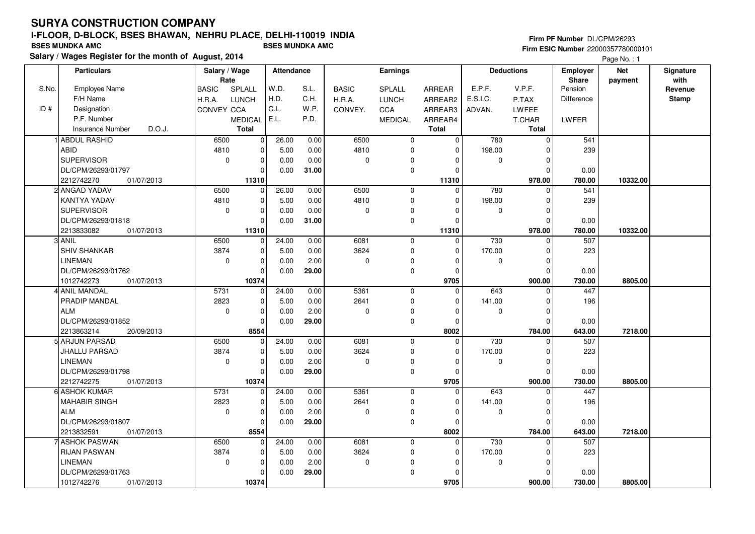#### **Firm PF Number** DL/CPM/26293 **Firm ESIC Number** 22000357780000101

|       | <b>Particulars</b>                | Salary / Wage        |                | Attendance |       |              | <b>Earnings</b> |               |             | <b>Deductions</b> | <b>Employer</b>         | <b>Net</b> | Signature<br>with |
|-------|-----------------------------------|----------------------|----------------|------------|-------|--------------|-----------------|---------------|-------------|-------------------|-------------------------|------------|-------------------|
| S.No. | Employee Name                     | Rate<br><b>BASIC</b> | SPLALL         | W.D.       | S.L.  | <b>BASIC</b> | SPLALL          | <b>ARREAR</b> | E.P.F.      | V.P.F.            | <b>Share</b><br>Pension | payment    | Revenue           |
|       | F/H Name                          | H.R.A.               | <b>LUNCH</b>   | H.D.       | C.H.  | H.R.A.       | <b>LUNCH</b>    | ARREAR2       | E.S.I.C.    | P.TAX             | Difference              |            | <b>Stamp</b>      |
| ID#   | Designation                       | CONVEY CCA           |                | C.L.       | W.P.  | CONVEY.      | CCA             | ARREAR3       | ADVAN.      | LWFEE             |                         |            |                   |
|       | P.F. Number                       |                      | <b>MEDICAL</b> | E.L.       | P.D.  |              | <b>MEDICAL</b>  | ARREAR4       |             | T.CHAR            | LWFER                   |            |                   |
|       | D.O.J.<br><b>Insurance Number</b> |                      | <b>Total</b>   |            |       |              |                 | <b>Total</b>  |             | Total             |                         |            |                   |
|       | <b>ABDUL RASHID</b>               | 6500                 | $\mathbf 0$    | 26.00      | 0.00  | 6500         | 0               | 0             | 780         | $\mathbf 0$       | 541                     |            |                   |
|       | <b>ABID</b>                       | 4810                 | $\mathbf 0$    | 5.00       | 0.00  | 4810         | 0               | $\mathbf 0$   | 198.00      | $\mathbf 0$       | 239                     |            |                   |
|       | <b>SUPERVISOR</b>                 | $\mathbf 0$          | $\pmb{0}$      | 0.00       | 0.00  | $\mathbf 0$  | 0               | $\Omega$      | 0           | $\mathbf 0$       |                         |            |                   |
|       | DL/CPM/26293/01797                |                      | $\Omega$       | 0.00       | 31.00 |              | $\mathbf 0$     | $\Omega$      |             | $\Omega$          | 0.00                    |            |                   |
|       | 2212742270<br>01/07/2013          |                      | 11310          |            |       |              |                 | 11310         |             | 978.00            | 780.00                  | 10332.00   |                   |
|       | 2 ANGAD YADAV                     | 6500                 | 0              | 26.00      | 0.00  | 6500         | $\mathbf 0$     | $\mathbf 0$   | 780         | $\mathbf 0$       | 541                     |            |                   |
|       | <b>KANTYA YADAV</b>               | 4810                 | $\mathbf 0$    | 5.00       | 0.00  | 4810         | $\Omega$        | $\mathbf 0$   | 198.00      | $\mathbf 0$       | 239                     |            |                   |
|       | <b>SUPERVISOR</b>                 | $\mathbf 0$          | $\mathbf 0$    | 0.00       | 0.00  | 0            | $\Omega$        | $\Omega$      | 0           | $\mathbf 0$       |                         |            |                   |
|       | DL/CPM/26293/01818                |                      | $\Omega$       | 0.00       | 31.00 |              | $\mathbf 0$     | $\Omega$      |             | $\mathbf 0$       | 0.00                    |            |                   |
|       | 01/07/2013<br>2213833082          |                      | 11310          |            |       |              |                 | 11310         |             | 978.00            | 780.00                  | 10332.00   |                   |
|       | 3 ANIL                            | 6500                 | 0              | 24.00      | 0.00  | 6081         | $\mathbf 0$     | $\mathbf 0$   | 730         | $\mathbf 0$       | 507                     |            |                   |
|       | <b>SHIV SHANKAR</b>               | 3874                 | $\mathbf 0$    | 5.00       | 0.00  | 3624         | 0               | $\Omega$      | 170.00      | $\mathbf 0$       | 223                     |            |                   |
|       | <b>LINEMAN</b>                    | $\mathbf 0$          | $\mathbf 0$    | 0.00       | 2.00  | 0            | $\mathbf 0$     | $\Omega$      | $\mathbf 0$ | $\mathbf 0$       |                         |            |                   |
|       | DL/CPM/26293/01762                |                      | $\mathbf 0$    | 0.00       | 29.00 |              | $\mathbf 0$     | $\Omega$      |             | $\mathbf 0$       | 0.00                    |            |                   |
|       | 1012742273<br>01/07/2013          |                      | 10374          |            |       |              |                 | 9705          |             | 900.00            | 730.00                  | 8805.00    |                   |
|       | 4 ANIL MANDAL                     | 5731                 | $\mathbf 0$    | 24.00      | 0.00  | 5361         | $\mathbf 0$     | $\Omega$      | 643         | $\mathbf 0$       | 447                     |            |                   |
|       | PRADIP MANDAL                     | 2823                 | $\mathbf 0$    | 5.00       | 0.00  | 2641         | $\mathbf 0$     | $\Omega$      | 141.00      | $\mathbf 0$       | 196                     |            |                   |
|       | <b>ALM</b>                        | $\mathbf 0$          | $\mathbf 0$    | 0.00       | 2.00  | 0            | 0               | $\Omega$      | $\mathbf 0$ | $\mathbf 0$       |                         |            |                   |
|       | DL/CPM/26293/01852                |                      | $\mathbf 0$    | 0.00       | 29.00 |              | $\mathbf 0$     | $\Omega$      |             | $\mathbf 0$       | 0.00                    |            |                   |
|       | 2213863214<br>20/09/2013          |                      | 8554           |            |       |              |                 | 8002          |             | 784.00            | 643.00                  | 7218.00    |                   |
|       | 5 ARJUN PARSAD                    | 6500                 | $\Omega$       | 24.00      | 0.00  | 6081         | 0               | $\Omega$      | 730         | $\Omega$          | 507                     |            |                   |
|       | JHALLU PARSAD                     | 3874                 | $\mathbf 0$    | 5.00       | 0.00  | 3624         | $\Omega$        | $\Omega$      | 170.00      | $\mathbf 0$       | 223                     |            |                   |
|       | LINEMAN                           | $\mathbf 0$          | $\mathbf 0$    | 0.00       | 2.00  | 0            | 0               | $\Omega$      | 0           | $\mathbf 0$       |                         |            |                   |
|       | DL/CPM/26293/01798                |                      | 0              | 0.00       | 29.00 |              | $\mathbf 0$     | 0             |             | $\mathbf 0$       | 0.00                    |            |                   |
|       | 2212742275<br>01/07/2013          |                      | 10374          |            |       |              |                 | 9705          |             | 900.00            | 730.00                  | 8805.00    |                   |
|       | 6 ASHOK KUMAR                     | 5731                 | 0              | 24.00      | 0.00  | 5361         | $\mathbf 0$     | $\Omega$      | 643         | $\mathbf 0$       | 447                     |            |                   |
|       | <b>MAHABIR SINGH</b>              | 2823                 | $\Omega$       | 5.00       | 0.00  | 2641         | 0               | $\Omega$      | 141.00      | $\mathbf 0$       | 196                     |            |                   |
|       | <b>ALM</b>                        | $\mathbf 0$          | $\mathbf 0$    | 0.00       | 2.00  | 0            | 0               | $\Omega$      | 0           | $\mathbf 0$       |                         |            |                   |
|       | DL/CPM/26293/01807                |                      | 0              | 0.00       | 29.00 |              | $\mathbf 0$     | $\Omega$      |             | $\mathbf 0$       | 0.00                    |            |                   |
|       | 2213832591<br>01/07/2013          |                      | 8554           |            |       |              |                 | 8002          |             | 784.00            | 643.00                  | 7218.00    |                   |
|       | 7 ASHOK PASWAN                    | 6500                 | $\Omega$       | 24.00      | 0.00  | 6081         | $\mathbf 0$     | $\Omega$      | 730         | $\mathbf 0$       | 507                     |            |                   |
|       | <b>RIJAN PASWAN</b>               | 3874                 | $\mathbf 0$    | 5.00       | 0.00  | 3624         | 0               | $\mathbf 0$   | 170.00      | $\mathbf 0$       | 223                     |            |                   |
|       | <b>LINEMAN</b>                    | $\mathbf 0$          | $\mathbf 0$    | 0.00       | 2.00  | 0            | $\Omega$        | $\Omega$      | $\mathbf 0$ | $\mathbf 0$       |                         |            |                   |
|       | DL/CPM/26293/01763                |                      | $\Omega$       | 0.00       | 29.00 |              | $\mathbf 0$     | $\Omega$      |             | $\mathbf 0$       | 0.00                    |            |                   |
|       | 1012742276<br>01/07/2013          |                      | 10374          |            |       |              |                 | 9705          |             | 900.00            | 730.00                  | 8805.00    |                   |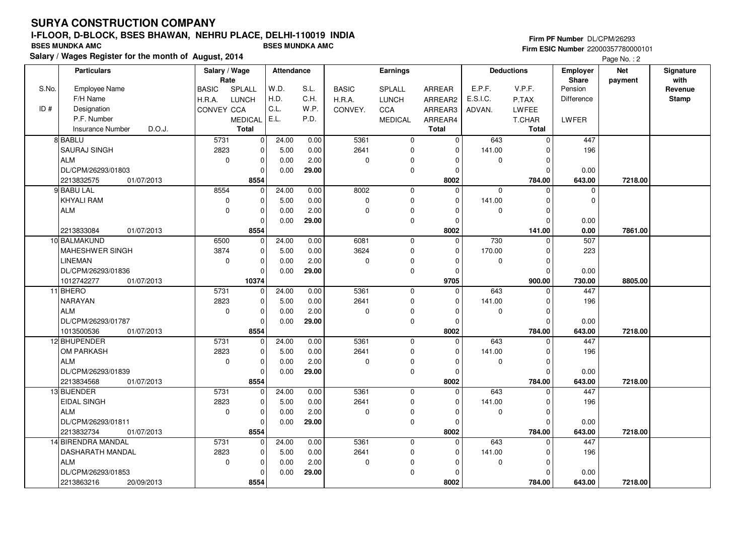#### **Firm PF Number** DL/CPM/26293 **Firm ESIC Number** 22000357780000101

|       | <b>Particulars</b>                | Salary / Wage        |                | <b>Attendance</b> |       |              | <b>Earnings</b> |               |             | <b>Deductions</b> | Employer          | <b>Net</b> | Signature<br>with |
|-------|-----------------------------------|----------------------|----------------|-------------------|-------|--------------|-----------------|---------------|-------------|-------------------|-------------------|------------|-------------------|
| S.No. | <b>Employee Name</b>              | Rate<br><b>BASIC</b> | SPLALL         | W.D.              | S.L.  | <b>BASIC</b> | SPLALL          | <b>ARREAR</b> | E.P.F.      | V.P.F.            | Share<br>Pension  | payment    | Revenue           |
|       | F/H Name                          | H.R.A.               | <b>LUNCH</b>   | H.D.              | C.H.  | H.R.A.       | <b>LUNCH</b>    | ARREAR2       | E.S.I.C.    | P.TAX             | <b>Difference</b> |            | <b>Stamp</b>      |
| ID#   | Designation                       | <b>CONVEY CCA</b>    |                | C.L.              | W.P.  | CONVEY.      | CCA             | ARREAR3       | ADVAN.      | LWFEE             |                   |            |                   |
|       | P.F. Number                       |                      | <b>MEDICAL</b> | E.L.              | P.D.  |              | <b>MEDICAL</b>  | ARREAR4       |             | T.CHAR            | LWFER             |            |                   |
|       | D.O.J.<br><b>Insurance Number</b> |                      | <b>Total</b>   |                   |       |              |                 | <b>Total</b>  |             | <b>Total</b>      |                   |            |                   |
|       | 8 BABLU                           | 5731                 | 0              | 24.00             | 0.00  | 5361         | $\mathbf 0$     | $\mathbf 0$   | 643         | $\mathbf 0$       | 447               |            |                   |
|       | <b>SAURAJ SINGH</b>               | 2823                 | $\mathbf 0$    | 5.00              | 0.00  | 2641         | $\mathbf 0$     | $\Omega$      | 141.00      | $\Omega$          | 196               |            |                   |
|       | <b>ALM</b>                        | $\mathbf 0$          | $\mathbf 0$    | 0.00              | 2.00  | 0            | $\mathbf 0$     | $\mathbf 0$   | $\mathbf 0$ | $\Omega$          |                   |            |                   |
|       | DL/CPM/26293/01803                |                      | 0              | 0.00              | 29.00 |              | $\pmb{0}$       | 0             |             | $\Omega$          | 0.00              |            |                   |
|       | 2213832575<br>01/07/2013          |                      | 8554           |                   |       |              |                 | 8002          |             | 784.00            | 643.00            | 7218.00    |                   |
|       | 9 BABU LAL                        | 8554                 | $\mathbf 0$    | 24.00             | 0.00  | 8002         | $\mathbf 0$     | $\Omega$      | $\mathbf 0$ | $\Omega$          | $\mathbf 0$       |            |                   |
|       | KHYALI RAM                        | 0                    | 0              | 5.00              | 0.00  | 0            | $\pmb{0}$       | $\Omega$      | 141.00      | $\Omega$          | $\mathbf 0$       |            |                   |
|       | <b>ALM</b>                        | $\mathbf 0$          | $\mathbf 0$    | 0.00              | 2.00  | 0            | $\mathbf 0$     | $\mathbf 0$   | $\mathbf 0$ | $\Omega$          |                   |            |                   |
|       |                                   |                      | $\mathbf 0$    | 0.00              | 29.00 |              | $\mathbf 0$     | $\mathbf 0$   |             | $\Omega$          | 0.00              |            |                   |
|       | 2213833084<br>01/07/2013          |                      | 8554           |                   |       |              |                 | 8002          |             | 141.00            | 0.00              | 7861.00    |                   |
|       | 10 BALMAKUND                      | 6500                 | $\mathbf 0$    | 24.00             | 0.00  | 6081         | $\mathbf 0$     | $\Omega$      | 730         | $\Omega$          | 507               |            |                   |
|       | MAHESHWER SINGH                   | 3874                 | 0              | 5.00              | 0.00  | 3624         | $\mathbf 0$     | 0             | 170.00      | $\Omega$          | 223               |            |                   |
|       | <b>LINEMAN</b>                    | $\mathbf 0$          | 0              | 0.00              | 2.00  | 0            | $\Omega$        | $\Omega$      | 0           | $\Omega$          |                   |            |                   |
|       | DL/CPM/26293/01836                |                      | $\Omega$       | 0.00              | 29.00 |              | $\mathbf 0$     | $\mathbf 0$   |             | $\Omega$          | 0.00              |            |                   |
|       | 1012742277<br>01/07/2013          |                      | 10374          |                   |       |              |                 | 9705          |             | 900.00            | 730.00            | 8805.00    |                   |
|       | 11 BHERO                          | 5731                 | $\mathbf 0$    | 24.00             | 0.00  | 5361         | $\overline{0}$  | $\Omega$      | 643         | $\Omega$          | 447               |            |                   |
|       | NARAYAN                           | 2823                 | $\mathbf 0$    | 5.00              | 0.00  | 2641         | $\mathbf 0$     | $\mathbf 0$   | 141.00      | $\Omega$          | 196               |            |                   |
|       | <b>ALM</b>                        | $\mathbf 0$          | 0              | 0.00              | 2.00  | 0            | $\mathbf 0$     | $\Omega$      | 0           | $\Omega$          |                   |            |                   |
|       | DL/CPM/26293/01787                |                      | $\Omega$       | 0.00              | 29.00 |              | $\mathbf 0$     | $\Omega$      |             | $\Omega$          | 0.00              |            |                   |
|       | 1013500536<br>01/07/2013          |                      | 8554           |                   |       |              |                 | 8002          |             | 784.00            | 643.00            | 7218.00    |                   |
|       | 12 BHUPENDER                      | 5731                 | $\mathbf 0$    | 24.00             | 0.00  | 5361         | $\mathbf 0$     | $\mathbf 0$   | 643         | 0                 | 447               |            |                   |
|       | OM PARKASH                        | 2823                 | $\mathbf 0$    | 5.00              | 0.00  | 2641         | $\mathbf 0$     | $\Omega$      | 141.00      | $\Omega$          | 196               |            |                   |
|       | <b>ALM</b>                        | $\mathbf 0$          | $\mathbf 0$    | 0.00              | 2.00  | 0            | $\mathbf 0$     | $\Omega$      | $\mathbf 0$ | $\mathbf 0$       |                   |            |                   |
|       | DL/CPM/26293/01839                |                      | 0              | 0.00              | 29.00 |              | $\mathbf 0$     | 0             |             | $\Omega$          | 0.00              |            |                   |
|       | 2213834568<br>01/07/2013          |                      | 8554           |                   |       |              |                 | 8002          |             | 784.00            | 643.00            | 7218.00    |                   |
|       | 13 BIJENDER                       | 5731                 | $\mathbf 0$    | 24.00             | 0.00  | 5361         | $\mathbf 0$     | $\mathbf 0$   | 643         | $\Omega$          | 447               |            |                   |
|       | <b>EIDAL SINGH</b>                | 2823                 | 0              | 5.00              | 0.00  | 2641         | $\mathbf 0$     | $\Omega$      | 141.00      | 0                 | 196               |            |                   |
|       | <b>ALM</b>                        | $\mathbf 0$          | $\mathbf 0$    | 0.00              | 2.00  | 0            | $\mathbf 0$     | $\Omega$      | $\mathbf 0$ | $\Omega$          |                   |            |                   |
|       | DL/CPM/26293/01811                |                      | $\mathbf 0$    | 0.00              | 29.00 |              | $\mathbf 0$     | $\mathbf 0$   |             | $\Omega$          | 0.00              |            |                   |
|       | 2213832734<br>01/07/2013          |                      | 8554           |                   |       |              |                 | 8002          |             | 784.00            | 643.00            | 7218.00    |                   |
|       | 14 BIRENDRA MANDAL                | 5731                 | $\mathbf 0$    | 24.00             | 0.00  | 5361         | $\mathbf 0$     | $\Omega$      | 643         | $\Omega$          | 447               |            |                   |
|       | DASHARATH MANDAL                  | 2823                 | $\mathbf 0$    | 5.00              | 0.00  | 2641         | $\mathbf 0$     | 0             | 141.00      | $\Omega$          | 196               |            |                   |
|       | <b>ALM</b>                        | $\mathbf 0$          | 0              | 0.00              | 2.00  | 0            | 0               | $\Omega$      | 0           | $\Omega$          |                   |            |                   |
|       | DL/CPM/26293/01853                |                      | $\mathbf 0$    | 0.00              | 29.00 |              | $\mathbf 0$     | $\Omega$      |             | $\Omega$          | 0.00              |            |                   |
|       | 2213863216<br>20/09/2013          |                      | 8554           |                   |       |              |                 | 8002          |             | 784.00            | 643.00            | 7218.00    |                   |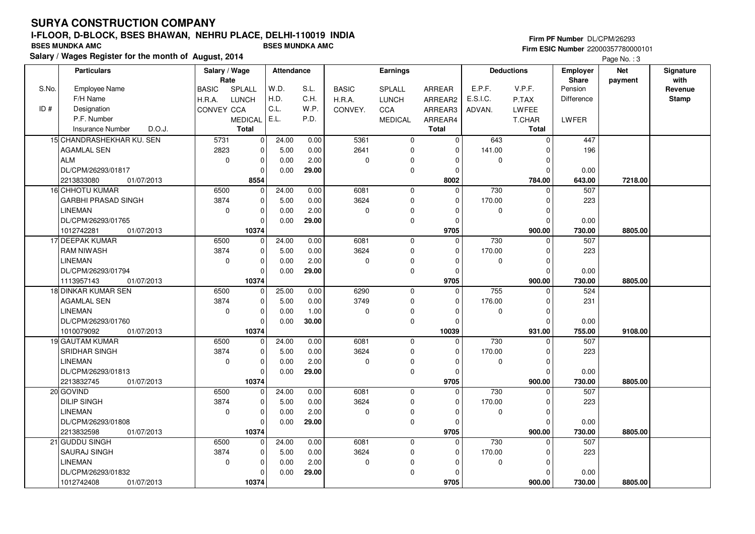## **SURYA CONSTRUCTION COMPANYI-FLOOR, D-BLOCK, BSES BHAWAN, NEHRU PLACE, DELHI-110019 INDIA**

**Salary / Wages Register for the month of August, 2014 BSES MUNDKA AMC BSES MUNDKA AMC**

#### **Firm PF Number** DL/CPM/26293 **Firm ESIC Number** 22000357780000101

|       | <b>Particulars</b>                   | Salary / Wage<br>Rate |                | <b>Attendance</b> |       |              | <b>Earnings</b> |                |          | <b>Deductions</b>       | <b>Employer</b><br>Share | <b>Net</b><br>payment | Signature<br>with |
|-------|--------------------------------------|-----------------------|----------------|-------------------|-------|--------------|-----------------|----------------|----------|-------------------------|--------------------------|-----------------------|-------------------|
| S.No. | <b>Employee Name</b>                 | <b>BASIC</b>          | SPLALL         | W.D.              | S.L.  | <b>BASIC</b> | SPLALL          | <b>ARREAR</b>  | E.P.F.   | V.P.F.                  | Pension                  |                       | Revenue           |
|       | F/H Name                             | H.R.A.                | <b>LUNCH</b>   | H.D.              | C.H.  | H.R.A.       | <b>LUNCH</b>    | ARREAR2        | E.S.I.C. | P.TAX                   | <b>Difference</b>        |                       | <b>Stamp</b>      |
| ID#   | Designation                          | CONVEY CCA            |                | C.L.              | W.P.  | CONVEY.      | <b>CCA</b>      | ARREAR3        | ADVAN.   | LWFEE                   |                          |                       |                   |
|       | P.F. Number                          |                       | <b>MEDICAL</b> | E.L.              | P.D.  |              | <b>MEDICAL</b>  | ARREAR4        |          | <b>T.CHAR</b>           | LWFER                    |                       |                   |
|       | D.O.J.<br><b>Insurance Number</b>    |                       | <b>Total</b>   |                   |       |              |                 | <b>Total</b>   |          | <b>Total</b>            |                          |                       |                   |
|       | 15 CHANDRASHEKHAR KU. SEN            | 5731                  | 0              | 24.00             | 0.00  | 5361         | $\mathbf 0$     | $\mathbf 0$    | 643      | $\mathbf 0$             | 447                      |                       |                   |
|       | <b>AGAMLAL SEN</b>                   | 2823                  | 0              | 5.00              | 0.00  | 2641         | $\mathbf 0$     | $\Omega$       | 141.00   | $\Omega$                | 196                      |                       |                   |
|       | l ALM                                | $\mathbf 0$           | 0              | 0.00              | 2.00  | 0            | $\mathbf 0$     | 0              | 0        | $\mathbf 0$             |                          |                       |                   |
|       | DL/CPM/26293/01817                   |                       | 0              | 0.00              | 29.00 |              | $\pmb{0}$       | 0              |          | $\mathbf 0$             | 0.00                     |                       |                   |
|       | 2213833080<br>01/07/2013             |                       | 8554           |                   |       |              |                 | 8002           |          | 784.00                  | 643.00                   | 7218.00               |                   |
|       | <b>16 CHHOTU KUMAR</b>               | 6500                  | $\mathbf 0$    | 24.00             | 0.00  | 6081         | $\mathbf 0$     | $\Omega$       | 730      | $\mathbf 0$             | 507                      |                       |                   |
|       | <b>GARBHI PRASAD SINGH</b>           | 3874                  | 0              | 5.00              | 0.00  | 3624         | $\pmb{0}$       | $\mathbf 0$    | 170.00   | $\mathbf 0$             | 223                      |                       |                   |
|       | <b>LINEMAN</b>                       | $\mathbf 0$           | 0              | 0.00              | 2.00  | 0            | $\mathbf 0$     | $\mathbf 0$    | 0        | $\mathbf 0$             |                          |                       |                   |
|       | DL/CPM/26293/01765                   |                       | $\mathbf 0$    | 0.00              | 29.00 |              | $\mathbf 0$     | $\mathbf 0$    |          | $\mathbf 0$             | 0.00                     |                       |                   |
|       | 1012742281<br>01/07/2013             |                       | 10374          |                   |       |              |                 | 9705           |          | 900.00                  | 730.00                   | 8805.00               |                   |
|       | 17 DEEPAK KUMAR                      | 6500                  | $\mathbf 0$    | 24.00             | 0.00  | 6081         | $\mathbf 0$     | $\Omega$       | 730      | 0                       | 507                      |                       |                   |
|       | <b>RAM NIWASH</b>                    | 3874                  | 0              | 5.00              | 0.00  | 3624         | $\mathbf 0$     | 0              | 170.00   | $\mathbf 0$             | 223                      |                       |                   |
|       | <b>LINEMAN</b>                       | $\mathbf 0$           | 0              | 0.00              | 2.00  | 0            | 0               | $\Omega$       | 0        | $\mathbf 0$             |                          |                       |                   |
|       | DL/CPM/26293/01794                   |                       | $\mathbf 0$    | 0.00              | 29.00 |              | $\mathbf 0$     | $\mathbf 0$    |          | $\mathbf 0$             | 0.00                     |                       |                   |
|       | 1113957143<br>01/07/2013             |                       | 10374          |                   |       |              |                 | 9705           |          | 900.00                  | 730.00                   | 8805.00               |                   |
|       | <b>18 DINKAR KUMAR SEN</b>           | 6500                  | $\mathbf 0$    | 25.00             | 0.00  | 6290         | $\overline{0}$  | $\overline{0}$ | 755      | $\mathbf 0$             | 524                      |                       |                   |
|       | <b>AGAMLAL SEN</b>                   | 3874                  | 0              | 5.00              | 0.00  | 3749         | $\mathbf 0$     | $\mathbf 0$    | 176.00   | $\mathbf 0$             | 231                      |                       |                   |
|       | <b>LINEMAN</b>                       | $\mathbf 0$           | 0              | 0.00              | 1.00  | 0            | $\pmb{0}$       | $\Omega$       | 0        | $\mathbf 0$             |                          |                       |                   |
|       | DL/CPM/26293/01760                   |                       | $\mathbf 0$    | 0.00              | 30.00 |              | $\mathbf 0$     | $\Omega$       |          | $\mathbf 0$             | 0.00                     |                       |                   |
|       | 1010079092<br>01/07/2013             |                       | 10374          |                   |       |              |                 | 10039          |          | 931.00                  | 755.00                   | 9108.00               |                   |
|       | 19 GAUTAM KUMAR                      | 6500                  | 0              | 24.00             | 0.00  | 6081         | $\mathbf 0$     | $\mathbf 0$    | 730      | $\mathbf 0$             | 507                      |                       |                   |
|       | SRIDHAR SINGH                        | 3874                  | 0              | 5.00              | 0.00  | 3624         | $\mathbf 0$     | $\Omega$       | 170.00   | $\mathbf 0$             | 223                      |                       |                   |
|       | <b>LINEMAN</b><br>DL/CPM/26293/01813 | $\mathbf 0$           | 0              | 0.00              | 2.00  | 0            | $\pmb{0}$       | $\mathbf 0$    | 0        | $\mathbf 0$<br>$\Omega$ |                          |                       |                   |
|       | 2213832745<br>01/07/2013             |                       | 0<br>10374     | 0.00              | 29.00 |              | $\pmb{0}$       | 0<br>9705      |          | 900.00                  | 0.00<br>730.00           | 8805.00               |                   |
|       | 20 GOVIND                            | 6500                  | 0              | 24.00             | 0.00  | 6081         | $\mathbf 0$     | $\mathbf 0$    | 730      | $\Omega$                | 507                      |                       |                   |
|       | <b>DILIP SINGH</b>                   | 3874                  | 0              | 5.00              | 0.00  | 3624         | $\mathbf 0$     | 0              | 170.00   | $\mathbf 0$             | 223                      |                       |                   |
|       | <b>LINEMAN</b>                       | $\mathbf 0$           | $\mathbf 0$    | 0.00              | 2.00  | 0            | $\pmb{0}$       | $\Omega$       | 0        | $\mathbf 0$             |                          |                       |                   |
|       | DL/CPM/26293/01808                   |                       | 0              | 0.00              | 29.00 |              | $\mathbf 0$     | 0              |          | $\mathbf 0$             | 0.00                     |                       |                   |
|       | 2213832598<br>01/07/2013             |                       | 10374          |                   |       |              |                 | 9705           |          | 900.00                  | 730.00                   | 8805.00               |                   |
|       | 21 GUDDU SINGH                       | 6500                  | $\mathbf 0$    | 24.00             | 0.00  | 6081         | $\mathbf 0$     | $\Omega$       | 730      | $\Omega$                | 507                      |                       |                   |
|       | <b>SAURAJ SINGH</b>                  | 3874                  | 0              | 5.00              | 0.00  | 3624         | $\mathbf 0$     | 0              | 170.00   | $\Omega$                | 223                      |                       |                   |
|       | <b>LINEMAN</b>                       | $\mathbf 0$           | 0              | 0.00              | 2.00  | 0            | 0               | $\Omega$       | 0        | $\Omega$                |                          |                       |                   |
|       | DL/CPM/26293/01832                   |                       | 0              | 0.00              | 29.00 |              | $\mathbf 0$     | $\Omega$       |          | $\Omega$                | 0.00                     |                       |                   |
|       | 1012742408<br>01/07/2013             |                       | 10374          |                   |       |              |                 | 9705           |          | 900.00                  | 730.00                   | 8805.00               |                   |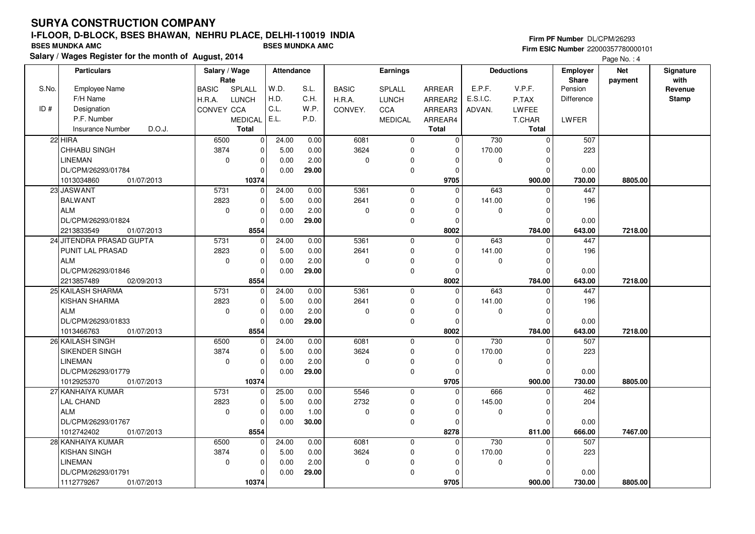#### **Firm PF Number** DL/CPM/26293 **Firm ESIC Number** 22000357780000101

|       | <b>Particulars</b>                | Salary / Wage<br>Rate |                | Attendance |       |              | <b>Earnings</b> |               |          | <b>Deductions</b> | <b>Employer</b><br>Share | <b>Net</b> | Signature<br>with |
|-------|-----------------------------------|-----------------------|----------------|------------|-------|--------------|-----------------|---------------|----------|-------------------|--------------------------|------------|-------------------|
| S.No. | <b>Employee Name</b>              | <b>BASIC</b>          | SPLALL         | W.D.       | S.L.  | <b>BASIC</b> | <b>SPLALL</b>   | <b>ARREAR</b> | E.P.F.   | V.P.F.            | Pension                  | payment    | Revenue           |
|       | F/H Name                          | H.R.A.                | <b>LUNCH</b>   | H.D.       | C.H.  | H.R.A.       | <b>LUNCH</b>    | ARREAR2       | E.S.I.C. | P.TAX             | Difference               |            | <b>Stamp</b>      |
| ID#   | Designation                       | CONVEY CCA            |                | C.L.       | W.P.  | CONVEY.      | CCA             | ARREAR3       | ADVAN.   | LWFEE             |                          |            |                   |
|       | P.F. Number                       |                       | <b>MEDICAL</b> | E.L.       | P.D.  |              | <b>MEDICAL</b>  | ARREAR4       |          | T.CHAR            | LWFER                    |            |                   |
|       | D.O.J.<br><b>Insurance Number</b> |                       | Total          |            |       |              |                 | <b>Total</b>  |          | Total             |                          |            |                   |
|       | 22 HIRA                           | 6500                  | $\pmb{0}$      | 24.00      | 0.00  | 6081         | $\mathbf 0$     | 0             | 730      | $\mathbf 0$       | 507                      |            |                   |
|       | CHHABU SINGH                      | 3874                  | $\pmb{0}$      | 5.00       | 0.00  | 3624         | 0               | $\mathbf 0$   | 170.00   | $\mathbf 0$       | 223                      |            |                   |
|       | <b>LINEMAN</b>                    | $\mathbf 0$           | $\pmb{0}$      | 0.00       | 2.00  | 0            | $\pmb{0}$       | $\Omega$      | 0        | $\mathbf 0$       |                          |            |                   |
|       | DL/CPM/26293/01784                |                       | $\Omega$       | 0.00       | 29.00 |              | $\mathbf 0$     | $\Omega$      |          | $\Omega$          | 0.00                     |            |                   |
|       | 1013034860<br>01/07/2013          |                       | 10374          |            |       |              |                 | 9705          |          | 900.00            | 730.00                   | 8805.00    |                   |
|       | 23 JASWANT                        | 5731                  | $\mathbf 0$    | 24.00      | 0.00  | 5361         | $\mathbf 0$     | $\Omega$      | 643      | $\Omega$          | 447                      |            |                   |
|       | <b>BALWANT</b>                    | 2823                  | $\pmb{0}$      | 5.00       | 0.00  | 2641         | $\mathbf 0$     | $\Omega$      | 141.00   | $\mathbf 0$       | 196                      |            |                   |
|       | <b>ALM</b>                        | 0                     | $\mathbf 0$    | 0.00       | 2.00  | 0            | 0               | $\Omega$      | 0        | $\mathbf 0$       |                          |            |                   |
|       | DL/CPM/26293/01824                |                       | $\Omega$       | 0.00       | 29.00 |              | $\mathbf 0$     | $\Omega$      |          | $\Omega$          | 0.00                     |            |                   |
|       | 2213833549<br>01/07/2013          |                       | 8554           |            |       |              |                 | 8002          |          | 784.00            | 643.00                   | 7218.00    |                   |
|       | 24 JITENDRA PRASAD GUPTA          | 5731                  | $\mathbf 0$    | 24.00      | 0.00  | 5361         | $\mathbf 0$     | $\mathbf 0$   | 643      | $\mathbf 0$       | 447                      |            |                   |
|       | PUNIT LAL PRASAD                  | 2823                  | $\mathbf 0$    | 5.00       | 0.00  | 2641         | $\mathbf 0$     | $\Omega$      | 141.00   | $\mathbf 0$       | 196                      |            |                   |
|       | <b>ALM</b>                        | $\mathbf 0$           | $\pmb{0}$      | 0.00       | 2.00  | 0            | $\mathbf 0$     | $\Omega$      | 0        | $\mathbf 0$       |                          |            |                   |
|       | DL/CPM/26293/01846                |                       | $\mathbf 0$    | 0.00       | 29.00 |              | $\mathbf 0$     | $\Omega$      |          | $\Omega$          | 0.00                     |            |                   |
|       | 2213857489<br>02/09/2013          |                       | 8554           |            |       |              |                 | 8002          |          | 784.00            | 643.00                   | 7218.00    |                   |
|       | 25 KAILASH SHARMA                 | 5731                  | 0              | 24.00      | 0.00  | 5361         | $\mathbf 0$     | $\Omega$      | 643      | $\mathbf 0$       | 447                      |            |                   |
|       | KISHAN SHARMA                     | 2823                  | $\mathbf 0$    | 5.00       | 0.00  | 2641         | $\mathbf 0$     | $\Omega$      | 141.00   | $\mathbf 0$       | 196                      |            |                   |
|       | <b>ALM</b>                        | $\mathbf 0$           | $\mathbf 0$    | 0.00       | 2.00  | 0            | $\pmb{0}$       | $\Omega$      | 0        | $\mathbf 0$       |                          |            |                   |
|       | DL/CPM/26293/01833                |                       | $\mathbf 0$    | 0.00       | 29.00 |              | $\pmb{0}$       | $\Omega$      |          | $\Omega$          | 0.00                     |            |                   |
|       | 1013466763<br>01/07/2013          |                       | 8554           |            |       |              |                 | 8002          |          | 784.00            | 643.00                   | 7218.00    |                   |
|       | 26 KAILASH SINGH                  | 6500                  | 0              | 24.00      | 0.00  | 6081         | $\mathbf 0$     | 0             | 730      | $\Omega$          | 507                      |            |                   |
|       | SIKENDER SINGH                    | 3874                  | $\pmb{0}$      | 5.00       | 0.00  | 3624         | $\mathbf 0$     | $\Omega$      | 170.00   | $\Omega$          | 223                      |            |                   |
|       | <b>LINEMAN</b>                    | $\mathbf 0$           | $\mathbf 0$    | 0.00       | 2.00  | 0            | 0               | $\Omega$      | 0        | $\mathbf 0$       |                          |            |                   |
|       | DL/CPM/26293/01779                |                       | 0              | 0.00       | 29.00 |              | $\mathbf 0$     | 0             |          | $\mathbf 0$       | 0.00                     |            |                   |
|       | 1012925370<br>01/07/2013          |                       | 10374          |            |       |              |                 | 9705          |          | 900.00            | 730.00                   | 8805.00    |                   |
|       | 27 KANHAIYA KUMAR                 | 5731                  | 0              | 25.00      | 0.00  | 5546         | $\mathbf 0$     | $\Omega$      | 666      | $\Omega$          | 462                      |            |                   |
|       | LAL CHAND                         | 2823                  | 0              | 5.00       | 0.00  | 2732         | $\mathbf 0$     | $\Omega$      | 145.00   | $\Omega$          | 204                      |            |                   |
|       | <b>ALM</b>                        | $\mathbf 0$           | $\pmb{0}$      | 0.00       | 1.00  | 0            | 0               | $\Omega$      | 0        | 0                 |                          |            |                   |
|       | DL/CPM/26293/01767                |                       | $\Omega$       | 0.00       | 30.00 |              | $\mathbf 0$     | $\Omega$      |          | $\Omega$          | 0.00                     |            |                   |
|       | 1012742402<br>01/07/2013          |                       | 8554           |            |       |              |                 | 8278          |          | 811.00            | 666.00                   | 7467.00    |                   |
|       | 28 KANHAIYA KUMAR                 | 6500                  | $\mathbf 0$    | 24.00      | 0.00  | 6081         | $\mathbf 0$     | 0             | 730      | $\mathbf 0$       | 507                      |            |                   |
|       | <b>KISHAN SINGH</b>               | 3874                  | $\pmb{0}$      | 5.00       | 0.00  | 3624         | $\pmb{0}$       | $\Omega$      | 170.00   | 0                 | 223                      |            |                   |
|       | <b>LINEMAN</b>                    | $\mathbf 0$           | $\mathbf 0$    | 0.00       | 2.00  | 0            | 0               | $\Omega$      | 0        | $\mathbf 0$       |                          |            |                   |
|       |                                   |                       | $\mathbf 0$    | 0.00       |       |              | $\mathbf 0$     | $\Omega$      |          | $\Omega$          |                          |            |                   |
|       | 1112779267<br>01/07/2013          |                       | 10374          |            |       |              |                 | 9705          |          | 900.00            | 730.00                   | 8805.00    |                   |
|       | DL/CPM/26293/01791                |                       |                |            | 29.00 |              |                 |               |          |                   | 0.00                     |            |                   |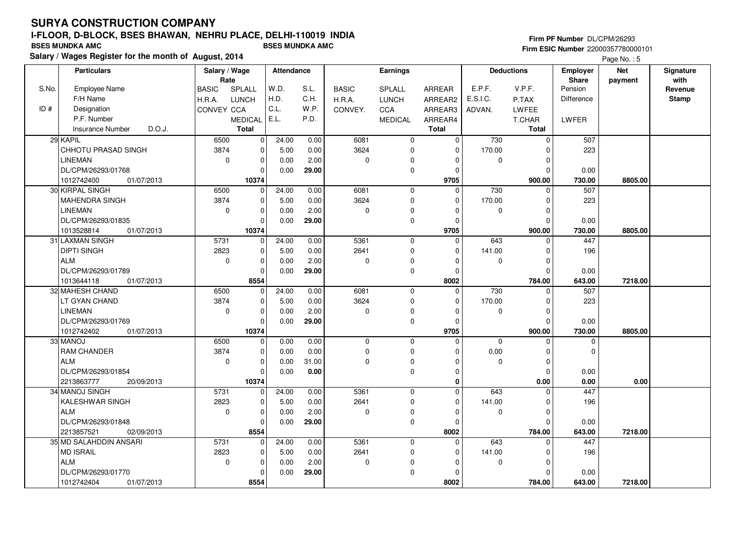#### **Firm PF Number** DL/CPM/26293 **Firm ESIC Number** 22000357780000101

|       | <b>Particulars</b>         | Salary / Wage<br>Rate |                | <b>Attendance</b> |       |              | <b>Earnings</b> |               |             | <b>Deductions</b> | <b>Employer</b><br>Share | <b>Net</b> | Signature<br>with |
|-------|----------------------------|-----------------------|----------------|-------------------|-------|--------------|-----------------|---------------|-------------|-------------------|--------------------------|------------|-------------------|
| S.No. | Employee Name              | <b>BASIC</b>          | SPLALL         | W.D.              | S.L.  | <b>BASIC</b> | SPLALL          | <b>ARREAR</b> | E.P.F.      | V.P.F.            | Pension                  | payment    | Revenue           |
|       | F/H Name                   | H.R.A.                | <b>LUNCH</b>   | H.D.              | C.H.  | H.R.A.       | <b>LUNCH</b>    | ARREAR2       | E.S.I.C.    | P.TAX             | Difference               |            | <b>Stamp</b>      |
| ID#   | Designation                | CONVEY CCA            |                | C.L.              | W.P.  | CONVEY.      | CCA             | ARREAR3       | ADVAN.      | LWFEE             |                          |            |                   |
|       | P.F. Number                |                       | <b>MEDICAL</b> | E.L.              | P.D.  |              | <b>MEDICAL</b>  | ARREAR4       |             | T.CHAR            | LWFER                    |            |                   |
|       | Insurance Number<br>D.O.J. |                       | <b>Total</b>   |                   |       |              |                 | <b>Total</b>  |             | Total             |                          |            |                   |
|       | 29 KAPIL                   | 6500                  | $\overline{0}$ | 24.00             | 0.00  | 6081         | $\mathbf 0$     | $\Omega$      | 730         | $\mathbf{0}$      | 507                      |            |                   |
|       | CHHOTU PRASAD SINGH        | 3874                  | $\mathbf 0$    | 5.00              | 0.00  | 3624         | 0               | $\mathbf 0$   | 170.00      | $\Omega$          | 223                      |            |                   |
|       | <b>LINEMAN</b>             | $\mathbf 0$           | 0              | 0.00              | 2.00  | $\mathbf 0$  | 0               | 0             | $\mathbf 0$ | 0                 |                          |            |                   |
|       | DL/CPM/26293/01768         |                       | $\mathbf 0$    | 0.00              | 29.00 |              | $\mathbf 0$     | $\Omega$      |             | $\Omega$          | 0.00                     |            |                   |
|       | 1012742400<br>01/07/2013   |                       | 10374          |                   |       |              |                 | 9705          |             | 900.00            | 730.00                   | 8805.00    |                   |
|       | 30 KIRPAL SINGH            | 6500                  | $\mathbf 0$    | 24.00             | 0.00  | 6081         | $\mathbf 0$     | $\Omega$      | 730         | $\mathbf 0$       | 507                      |            |                   |
|       | <b>MAHENDRA SINGH</b>      | 3874                  | $\mathbf 0$    | 5.00              | 0.00  | 3624         | $\mathbf 0$     | $\mathbf 0$   | 170.00      | $\Omega$          | 223                      |            |                   |
|       | <b>LINEMAN</b>             | $\mathbf 0$           | 0              | 0.00              | 2.00  | $\mathbf 0$  | $\Omega$        | $\Omega$      | $\mathbf 0$ | $\mathbf 0$       |                          |            |                   |
|       | DL/CPM/26293/01835         |                       | $\Omega$       | 0.00              | 29.00 |              | $\mathbf 0$     | $\Omega$      |             | $\Omega$          | 0.00                     |            |                   |
|       | 1013528814<br>01/07/2013   |                       | 10374          |                   |       |              |                 | 9705          |             | 900.00            | 730.00                   | 8805.00    |                   |
|       | 31 LAXMAN SINGH            | 5731                  | $\mathbf 0$    | 24.00             | 0.00  | 5361         | $\mathbf 0$     | $\mathbf 0$   | 643         | $\mathbf 0$       | 447                      |            |                   |
|       | <b>DIPTI SINGH</b>         | 2823                  | $\mathbf 0$    | 5.00              | 0.00  | 2641         | $\mathbf 0$     | $\mathbf 0$   | 141.00      | $\mathbf 0$       | 196                      |            |                   |
|       | <b>ALM</b>                 | $\mathbf 0$           | 0              | 0.00              | 2.00  | 0            | 0               | $\Omega$      | 0           | $\mathbf 0$       |                          |            |                   |
|       | DL/CPM/26293/01789         |                       | 0              | 0.00              | 29.00 |              | $\mathbf 0$     | 0             |             | $\Omega$          | 0.00                     |            |                   |
|       | 1013644118<br>01/07/2013   |                       | 8554           |                   |       |              |                 | 8002          |             | 784.00            | 643.00                   | 7218.00    |                   |
|       | 32 MAHESH CHAND            | 6500                  | 0              | 24.00             | 0.00  | 6081         | $\mathbf 0$     | $\mathbf 0$   | 730         | $\mathbf 0$       | 507                      |            |                   |
|       | LT GYAN CHAND              | 3874                  | 0              | 5.00              | 0.00  | 3624         | $\mathbf 0$     | $\Omega$      | 170.00      | $\Omega$          | 223                      |            |                   |
|       | <b>LINEMAN</b>             | $\mathbf 0$           | $\mathbf 0$    | 0.00              | 2.00  | $\mathbf 0$  | $\mathbf 0$     | $\Omega$      | $\mathbf 0$ | $\Omega$          |                          |            |                   |
|       | DL/CPM/26293/01769         |                       | $\mathbf 0$    | 0.00              | 29.00 |              | $\mathbf 0$     | $\Omega$      |             | $\mathbf 0$       | 0.00                     |            |                   |
|       | 1012742402<br>01/07/2013   |                       | 10374          |                   |       |              |                 | 9705          |             | 900.00            | 730.00                   | 8805.00    |                   |
|       | 33 MANOJ                   | 6500                  | $\mathbf 0$    | 0.00              | 0.00  | 0            | $\mathbf 0$     | $\mathbf 0$   | $\mathbf 0$ | $\mathbf 0$       | $\mathbf 0$              |            |                   |
|       | <b>RAM CHANDER</b>         | 3874                  | $\mathbf 0$    | 0.00              | 0.00  | 0            | $\mathbf 0$     | $\Omega$      | 0.00        | $\mathbf 0$       | $\mathbf 0$              |            |                   |
|       | <b>ALM</b>                 | $\mathbf 0$           | $\mathbf 0$    | 0.00              | 31.00 | $\Omega$     | $\mathbf 0$     | $\Omega$      | $\Omega$    | $\mathbf 0$       |                          |            |                   |
|       | DL/CPM/26293/01854         |                       | 0              | 0.00              | 0.00  |              | $\mathbf 0$     | $\mathbf 0$   |             | $\mathbf 0$       | 0.00                     |            |                   |
|       | 2213863777<br>20/09/2013   |                       | 10374          |                   |       |              |                 | 0             |             | 0.00              | 0.00                     | 0.00       |                   |
|       | 34 MANOJ SINGH             | 5731                  | $\mathbf{0}$   | 24.00             | 0.00  | 5361         | $\mathbf 0$     | $\Omega$      | 643         | $\Omega$          | 447                      |            |                   |
|       | KALESHWAR SINGH            | 2823                  | 0              | 5.00              | 0.00  | 2641         | $\mathbf 0$     | 0             | 141.00      | $\Omega$          | 196                      |            |                   |
|       | <b>ALM</b>                 | $\mathbf 0$           | $\mathbf 0$    | 0.00              | 2.00  | $\mathbf 0$  | 0               | $\Omega$      | 0           | $\Omega$          |                          |            |                   |
|       | DL/CPM/26293/01848         |                       | $\mathbf 0$    | 0.00              | 29.00 |              | $\mathbf 0$     | $\mathbf 0$   |             | $\Omega$          | 0.00                     |            |                   |
|       | 2213857521<br>02/09/2013   |                       | 8554           |                   |       |              |                 | 8002          |             | 784.00            | 643.00                   | 7218.00    |                   |
|       | 35 MD SALAHDDIN ANSARI     | 5731                  | $\mathbf{0}$   | 24.00             | 0.00  | 5361         | $\mathbf 0$     | $\Omega$      | 643         | $\Omega$          | 447                      |            |                   |
|       | MD ISRAIL                  | 2823                  | $\mathbf 0$    | 5.00              | 0.00  | 2641         | $\mathbf 0$     | $\Omega$      | 141.00      | $\Omega$          | 196                      |            |                   |
|       | ALM                        | $\mathbf 0$           | $\mathbf 0$    | 0.00              | 2.00  | 0            | 0               | 0             | 0           | $\mathbf 0$       |                          |            |                   |
|       | DL/CPM/26293/01770         |                       | $\mathbf 0$    | 0.00              | 29.00 |              | $\mathbf 0$     | $\Omega$      |             | $\Omega$          | 0.00                     |            |                   |
|       | 1012742404<br>01/07/2013   |                       | 8554           |                   |       |              |                 | 8002          |             | 784.00            | 643.00                   | 7218.00    |                   |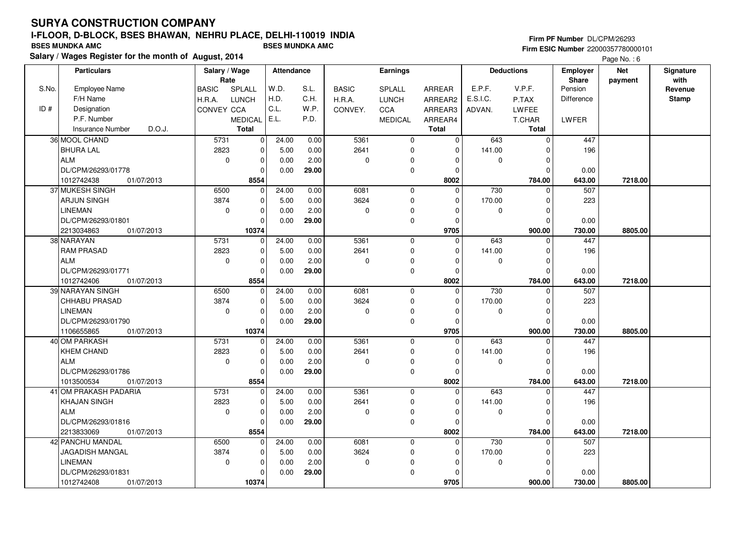# **SURYA CONSTRUCTION COMPANYI-FLOOR, D-BLOCK, BSES BHAWAN, NEHRU PLACE, DELHI-110019 INDIA**

**Salary / Wages Register for the month of August, 2014 BSES MUNDKA AMC BSES MUNDKA AMC**

#### **Firm PF Number** DL/CPM/26293 **Firm ESIC Number** 22000357780000101

|       | <b>Particulars</b>                | Salary / Wage        |                | <b>Attendance</b> |       |              | <b>Earnings</b> |                |              | <b>Deductions</b> | Employer          | <b>Net</b> | Signature<br>with |
|-------|-----------------------------------|----------------------|----------------|-------------------|-------|--------------|-----------------|----------------|--------------|-------------------|-------------------|------------|-------------------|
| S.No. | <b>Employee Name</b>              | Rate<br><b>BASIC</b> | SPLALL         | W.D.              | S.L.  | <b>BASIC</b> | SPLALL          | <b>ARREAR</b>  | E.P.F.       | V.P.F.            | Share<br>Pension  | payment    | Revenue           |
|       | F/H Name                          | H.R.A.               | <b>LUNCH</b>   | H.D.              | C.H.  | H.R.A.       | <b>LUNCH</b>    | ARREAR2        | E.S.I.C.     | P.TAX             | <b>Difference</b> |            | <b>Stamp</b>      |
| ID#   | Designation                       | <b>CONVEY CCA</b>    |                | C.L.              | W.P.  | CONVEY.      | <b>CCA</b>      | ARREAR3        | ADVAN.       | LWFEE             |                   |            |                   |
|       | P.F. Number                       |                      | <b>MEDICAL</b> | E.L.              | P.D.  |              | <b>MEDICAL</b>  | ARREAR4        |              | T.CHAR            | <b>LWFER</b>      |            |                   |
|       | D.O.J.<br><b>Insurance Number</b> |                      | <b>Total</b>   |                   |       |              |                 | <b>Total</b>   |              | <b>Total</b>      |                   |            |                   |
|       | 36 MOOL CHAND                     | 5731                 | 0              | 24.00             | 0.00  | 5361         | $\mathbf 0$     | $\mathbf 0$    | 643          | $\mathbf 0$       | 447               |            |                   |
|       | <b>BHURA LAL</b>                  | 2823                 | $\mathbf 0$    | 5.00              | 0.00  | 2641         | $\mathbf 0$     | $\Omega$       | 141.00       | $\Omega$          | 196               |            |                   |
|       | <b>ALM</b>                        | $\mathbf 0$          | $\mathbf 0$    | 0.00              | 2.00  | 0            | $\mathbf 0$     | $\mathbf 0$    | $\mathbf 0$  | $\Omega$          |                   |            |                   |
|       | DL/CPM/26293/01778                |                      | 0              | 0.00              | 29.00 |              | $\pmb{0}$       | 0              |              | $\Omega$          | 0.00              |            |                   |
|       | 1012742438<br>01/07/2013          |                      | 8554           |                   |       |              |                 | 8002           |              | 784.00            | 643.00            | 7218.00    |                   |
|       | 37 MUKESH SINGH                   | 6500                 | $\mathbf 0$    | 24.00             | 0.00  | 6081         | $\mathbf 0$     | $\Omega$       | 730          | $\mathbf 0$       | 507               |            |                   |
|       | <b>ARJUN SINGH</b>                | 3874                 | 0              | 5.00              | 0.00  | 3624         | $\mathbf 0$     | 0              | 170.00       | 0                 | 223               |            |                   |
|       | <b>LINEMAN</b>                    | $\mathbf 0$          | $\mathbf 0$    | 0.00              | 2.00  | 0            | $\Omega$        | $\mathbf 0$    | $\mathbf 0$  | $\Omega$          |                   |            |                   |
|       | DL/CPM/26293/01801                |                      | $\mathbf 0$    | 0.00              | 29.00 |              | $\mathbf 0$     | $\mathbf 0$    |              | $\Omega$          | 0.00              |            |                   |
|       | 2213034863<br>01/07/2013          |                      | 10374          |                   |       |              |                 | 9705           |              | 900.00            | 730.00            | 8805.00    |                   |
|       | 38 NARAYAN                        | 5731                 | $\mathbf 0$    | 24.00             | 0.00  | 5361         | $\mathbf 0$     | $\Omega$       | 643          | $\Omega$          | 447               |            |                   |
|       | <b>RAM PRASAD</b>                 | 2823                 | 0              | 5.00              | 0.00  | 2641         | $\mathbf 0$     | 0              | 141.00       | 0                 | 196               |            |                   |
|       | <b>ALM</b>                        | $\mathbf 0$          | 0              | 0.00              | 2.00  | 0            | $\Omega$        | $\Omega$       | 0            | $\Omega$          |                   |            |                   |
|       | DL/CPM/26293/01771                |                      | $\mathbf 0$    | 0.00              | 29.00 |              | $\mathbf 0$     | $\mathbf 0$    |              | $\Omega$          | 0.00              |            |                   |
|       | 1012742406<br>01/07/2013          |                      | 8554           |                   |       |              |                 | 8002           |              | 784.00            | 643.00            | 7218.00    |                   |
|       | 39 NARAYAN SINGH                  | 6500                 | $\mathbf 0$    | 24.00             | 0.00  | 6081         | $\overline{0}$  | $\overline{0}$ | 730          | $\Omega$          | 507               |            |                   |
|       | CHHABU PRASAD                     | 3874                 | $\mathbf 0$    | 5.00              | 0.00  | 3624         | $\mathbf 0$     | $\mathbf 0$    | 170.00       | $\Omega$          | 223               |            |                   |
|       | <b>LINEMAN</b>                    | 0                    | 0              | 0.00              | 2.00  | 0            | $\mathbf 0$     | $\Omega$       | 0            | $\Omega$          |                   |            |                   |
|       | DL/CPM/26293/01790                |                      | $\Omega$       | 0.00              | 29.00 |              | $\mathbf 0$     | $\Omega$       |              | $\Omega$          | 0.00              |            |                   |
|       | 1106655865<br>01/07/2013          |                      | 10374          |                   |       |              |                 | 9705           |              | 900.00            | 730.00            | 8805.00    |                   |
|       | 40 OM PARKASH                     | 5731                 | $\mathbf 0$    | 24.00             | 0.00  | 5361         | $\mathbf 0$     | $\mathbf 0$    | 643          | 0                 | 447               |            |                   |
|       | <b>KHEM CHAND</b>                 | 2823                 | $\mathbf 0$    | 5.00              | 0.00  | 2641         | $\mathbf 0$     | $\Omega$       | 141.00       | $\Omega$          | 196               |            |                   |
|       | <b>ALM</b>                        | $\mathbf 0$          | $\mathbf 0$    | 0.00              | 2.00  | 0            | $\mathbf 0$     | $\Omega$       | $\mathbf{0}$ | $\mathbf 0$       |                   |            |                   |
|       | DL/CPM/26293/01786                |                      | 0              | 0.00              | 29.00 |              | $\mathbf 0$     | 0              |              | $\Omega$          | 0.00              |            |                   |
|       | 1013500534<br>01/07/2013          |                      | 8554           |                   |       |              |                 | 8002           |              | 784.00            | 643.00            | 7218.00    |                   |
|       | 41 OM PRAKASH PADARIA             | 5731                 | $\mathbf 0$    | 24.00             | 0.00  | 5361         | $\mathbf 0$     | $\Omega$       | 643          | $\Omega$          | 447               |            |                   |
|       | <b>KHAJAN SINGH</b>               | 2823                 | 0              | 5.00              | 0.00  | 2641         | $\mathbf 0$     | $\Omega$       | 141.00       | 0                 | 196               |            |                   |
|       | <b>ALM</b>                        | $\mathbf 0$          | $\mathbf 0$    | 0.00              | 2.00  | 0            | $\mathbf 0$     | $\Omega$       | $\mathbf 0$  | $\Omega$          |                   |            |                   |
|       | DL/CPM/26293/01816                |                      | $\mathbf 0$    | 0.00              | 29.00 |              | $\mathbf 0$     | $\mathbf 0$    |              | $\Omega$          | 0.00              |            |                   |
|       | 2213833069<br>01/07/2013          |                      | 8554           |                   |       |              |                 | 8002           |              | 784.00            | 643.00            | 7218.00    |                   |
|       | 42 PANCHU MANDAL                  | 6500                 | $\mathbf 0$    | 24.00             | 0.00  | 6081         | $\mathbf 0$     | $\Omega$       | 730          | $\Omega$          | 507               |            |                   |
|       | JAGADISH MANGAL                   | 3874                 | $\mathbf 0$    | 5.00              | 0.00  | 3624         | $\mathbf 0$     | 0              | 170.00       | $\Omega$          | 223               |            |                   |
|       | <b>LINEMAN</b>                    | 0                    | 0              | 0.00              | 2.00  | 0            | 0               | $\Omega$       | 0            | $\Omega$          |                   |            |                   |
|       | DL/CPM/26293/01831                |                      | $\mathbf{0}$   | 0.00              | 29.00 |              | $\mathbf 0$     | $\Omega$       |              | $\Omega$          | 0.00              |            |                   |
|       | 1012742408<br>01/07/2013          |                      | 10374          |                   |       |              |                 | 9705           |              | 900.00            | 730.00            | 8805.00    |                   |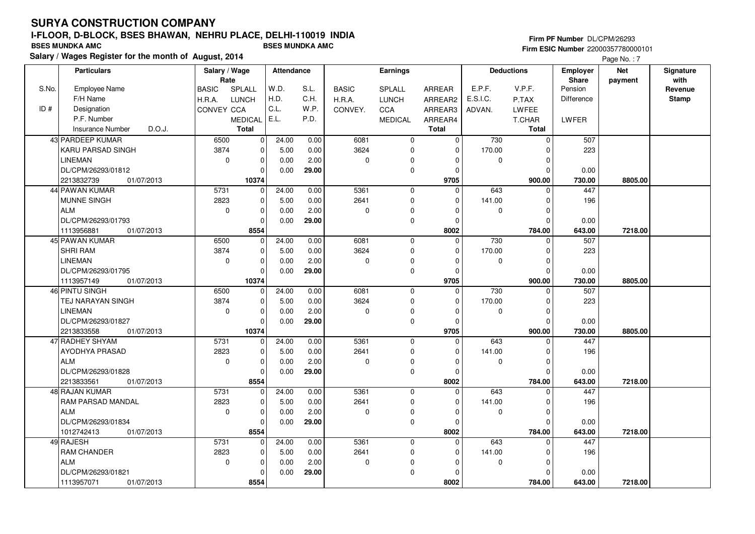#### **Firm PF Number** DL/CPM/26293 **Firm ESIC Number** 22000357780000101

|       | <b>Particulars</b>                | Salary / Wage<br>Rate |              | Attendance |       |              | <b>Earnings</b> |               |             | <b>Deductions</b> | <b>Employer</b><br><b>Share</b> | <b>Net</b> | Signature<br>with |
|-------|-----------------------------------|-----------------------|--------------|------------|-------|--------------|-----------------|---------------|-------------|-------------------|---------------------------------|------------|-------------------|
| S.No. | Employee Name                     | <b>BASIC</b>          | SPLALL       | W.D.       | S.L.  | <b>BASIC</b> | SPLALL          | <b>ARREAR</b> | E.P.F.      | V.P.F.            | Pension                         | payment    | Revenue           |
|       | F/H Name                          | H.R.A.                | <b>LUNCH</b> | H.D.       | C.H.  | H.R.A.       | <b>LUNCH</b>    | ARREAR2       | E.S.I.C.    | P.TAX             | <b>Difference</b>               |            | <b>Stamp</b>      |
| ID#   | Designation                       | CONVEY CCA            |              | C.L.       | W.P.  | CONVEY.      | CCA             | ARREAR3       | ADVAN.      | LWFEE             |                                 |            |                   |
|       | P.F. Number                       |                       | MEDICAL E.L. |            | P.D.  |              | <b>MEDICAL</b>  | ARREAR4       |             | T.CHAR            | <b>LWFER</b>                    |            |                   |
|       | D.O.J.<br><b>Insurance Number</b> |                       | <b>Total</b> |            |       |              |                 | <b>Total</b>  |             | <b>Total</b>      |                                 |            |                   |
|       | 43 PARDEEP KUMAR                  | 6500                  | 0            | 24.00      | 0.00  | 6081         | 0               | 0             | 730         | $\mathbf 0$       | 507                             |            |                   |
|       | KARU PARSAD SINGH                 | 3874                  | $\mathbf 0$  | 5.00       | 0.00  | 3624         | $\mathbf 0$     | $\Omega$      | 170.00      | $\mathbf 0$       | 223                             |            |                   |
|       | <b>LINEMAN</b>                    | $\mathbf 0$           | 0            | 0.00       | 2.00  | $\mathbf 0$  | $\Omega$        | $\Omega$      | $\mathbf 0$ | $\mathbf 0$       |                                 |            |                   |
|       | DL/CPM/26293/01812                |                       | 0            | 0.00       | 29.00 |              | $\mathbf 0$     | $\Omega$      |             | $\mathbf 0$       | 0.00                            |            |                   |
|       | 2213832739<br>01/07/2013          |                       | 10374        |            |       |              |                 | 9705          |             | 900.00            | 730.00                          | 8805.00    |                   |
|       | 44 PAWAN KUMAR                    | 5731                  | $\mathbf 0$  | 24.00      | 0.00  | 5361         | $\mathbf 0$     | $\Omega$      | 643         | $\mathbf 0$       | 447                             |            |                   |
|       | <b>MUNNE SINGH</b>                | 2823                  | 0            | 5.00       | 0.00  | 2641         | $\mathbf 0$     | $\Omega$      | 141.00      | $\mathbf 0$       | 196                             |            |                   |
|       | <b>ALM</b>                        | $\mathbf 0$           | 0            | 0.00       | 2.00  | 0            | $\Omega$        | 0             | 0           | $\mathbf 0$       |                                 |            |                   |
|       | DL/CPM/26293/01793                |                       | $\mathbf 0$  | 0.00       | 29.00 |              | $\mathbf 0$     | $\Omega$      |             | $\mathbf 0$       | 0.00                            |            |                   |
|       | 1113956881<br>01/07/2013          |                       | 8554         |            |       |              |                 | 8002          |             | 784.00            | 643.00                          | 7218.00    |                   |
|       | 45 PAWAN KUMAR                    | 6500                  | $\mathbf 0$  | 24.00      | 0.00  | 6081         | $\mathbf 0$     | $\Omega$      | 730         | $\mathbf 0$       | 507                             |            |                   |
|       | <b>SHRI RAM</b>                   | 3874                  | 0            | 5.00       | 0.00  | 3624         | $\mathbf 0$     | $\Omega$      | 170.00      | $\mathbf 0$       | 223                             |            |                   |
|       | <b>LINEMAN</b>                    | $\mathbf 0$           | 0            | 0.00       | 2.00  | $\mathbf 0$  | 0               | $\Omega$      | 0           | $\mathbf 0$       |                                 |            |                   |
|       | DL/CPM/26293/01795                |                       | $\Omega$     | 0.00       | 29.00 |              | $\mathbf 0$     | $\Omega$      |             | $\Omega$          | 0.00                            |            |                   |
|       | 1113957149<br>01/07/2013          |                       | 10374        |            |       |              |                 | 9705          |             | 900.00            | 730.00                          | 8805.00    |                   |
|       | 46 PINTU SINGH                    | 6500                  | 0            | 24.00      | 0.00  | 6081         | 0               | 0             | 730         | $\mathbf 0$       | 507                             |            |                   |
|       | TEJ NARAYAN SINGH                 | 3874                  | $\mathbf 0$  | 5.00       | 0.00  | 3624         | $\mathbf 0$     | $\Omega$      | 170.00      | $\Omega$          | 223                             |            |                   |
|       | <b>LINEMAN</b>                    | $\mathbf 0$           | $\mathbf 0$  | 0.00       | 2.00  | $\mathbf 0$  | $\mathbf 0$     | $\Omega$      | $\mathbf 0$ | $\mathbf 0$       |                                 |            |                   |
|       | DL/CPM/26293/01827                |                       | $\mathbf 0$  | 0.00       | 29.00 |              | $\mathbf 0$     | $\Omega$      |             | $\mathbf 0$       | 0.00                            |            |                   |
|       | 2213833558<br>01/07/2013          |                       | 10374        |            |       |              |                 | 9705          |             | 900.00            | 730.00                          | 8805.00    |                   |
|       | 47 RADHEY SHYAM                   | 5731                  | $\mathbf 0$  | 24.00      | 0.00  | 5361         | $\mathbf 0$     | $\Omega$      | 643         | $\Omega$          | 447                             |            |                   |
|       | AYODHYA PRASAD                    | 2823                  | 0            | 5.00       | 0.00  | 2641         | $\Omega$        | $\Omega$      | 141.00      | $\mathbf 0$       | 196                             |            |                   |
|       | <b>ALM</b>                        | 0                     | 0            | 0.00       | 2.00  | 0            | $\Omega$        | 0             | 0           | $\mathbf 0$       |                                 |            |                   |
|       | DL/CPM/26293/01828                |                       | $\mathbf 0$  | 0.00       | 29.00 |              | $\mathbf 0$     | $\Omega$      |             | $\mathbf 0$       | 0.00                            |            |                   |
|       | 2213833561<br>01/07/2013          |                       | 8554         |            |       |              |                 | 8002          |             | 784.00            | 643.00                          | 7218.00    |                   |
|       | 48 RAJAN KUMAR                    | 5731                  | 0            | 24.00      | 0.00  | 5361         | $\mathbf 0$     | $\Omega$      | 643         | $\mathbf 0$       | 447                             |            |                   |
|       | <b>RAM PARSAD MANDAL</b>          | 2823                  | $\mathbf 0$  | 5.00       | 0.00  | 2641         | $\mathbf 0$     | $\Omega$      | 141.00      | $\mathbf 0$       | 196                             |            |                   |
|       | <b>ALM</b>                        | $\mathbf 0$           | 0            | 0.00       | 2.00  | 0            | 0               | $\mathbf 0$   | 0           | $\mathbf 0$       |                                 |            |                   |
|       | DL/CPM/26293/01834                |                       | 0            | 0.00       | 29.00 |              | $\mathbf 0$     | $\Omega$      |             | $\mathbf 0$       | 0.00                            |            |                   |
|       | 1012742413<br>01/07/2013          |                       | 8554         |            |       |              |                 | 8002          |             | 784.00            | 643.00                          | 7218.00    |                   |
|       | 49 RAJESH                         | 5731                  | $\mathbf 0$  | 24.00      | 0.00  | 5361         | $\mathbf 0$     | $\Omega$      | 643         | $\mathbf 0$       | 447                             |            |                   |
|       | RAM CHANDER                       | 2823                  | 0            | 5.00       | 0.00  | 2641         | 0               | $\mathbf 0$   | 141.00      | $\mathbf 0$       | 196                             |            |                   |
|       | <b>ALM</b>                        | $\mathbf 0$           | 0            | 0.00       | 2.00  | $\mathbf 0$  | $\Omega$        | 0             | $\mathbf 0$ | $\mathbf 0$       |                                 |            |                   |
|       | DL/CPM/26293/01821                |                       | 0            | 0.00       | 29.00 |              | $\Omega$        | O             |             | $\mathbf 0$       | 0.00                            |            |                   |
|       | 1113957071<br>01/07/2013          |                       | 8554         |            |       |              |                 | 8002          |             | 784.00            | 643.00                          | 7218.00    |                   |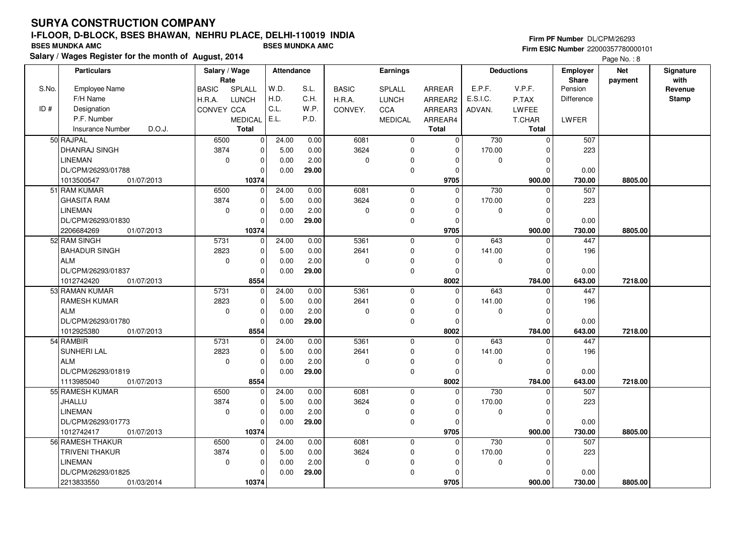#### **Firm PF Number** DL/CPM/26293 **Firm ESIC Number** 22000357780000101

|       | <b>Particulars</b>                | Salary / Wage<br>Rate |                | <b>Attendance</b> |       |              | <b>Earnings</b> |               |             | <b>Deductions</b> | <b>Employer</b><br>Share | <b>Net</b> | Signature<br>with |
|-------|-----------------------------------|-----------------------|----------------|-------------------|-------|--------------|-----------------|---------------|-------------|-------------------|--------------------------|------------|-------------------|
| S.No. | Employee Name                     | <b>BASIC</b>          | SPLALL         | W.D.              | S.L.  | <b>BASIC</b> | <b>SPLALL</b>   | <b>ARREAR</b> | E.P.F.      | V.P.F.            | Pension                  | payment    | Revenue           |
|       | F/H Name                          | H.R.A.                | <b>LUNCH</b>   | H.D.              | C.H.  | H.R.A.       | <b>LUNCH</b>    | ARREAR2       | E.S.I.C.    | P.TAX             | Difference               |            | <b>Stamp</b>      |
| ID#   | Designation                       | CONVEY CCA            |                | C.L.              | W.P.  | CONVEY.      | CCA             | ARREAR3       | ADVAN.      | <b>LWFEE</b>      |                          |            |                   |
|       | P.F. Number                       |                       | <b>MEDICAL</b> | E.L.              | P.D.  |              | <b>MEDICAL</b>  | ARREAR4       |             | T.CHAR            | LWFER                    |            |                   |
|       | <b>Insurance Number</b><br>D.O.J. |                       | <b>Total</b>   |                   |       |              |                 | <b>Total</b>  |             | Total             |                          |            |                   |
|       | 50 RAJPAL                         | 6500                  | $\mathbf{0}$   | 24.00             | 0.00  | 6081         | $\mathbf 0$     | $\mathbf 0$   | 730         | $\mathbf 0$       | 507                      |            |                   |
|       |                                   |                       |                |                   |       |              |                 |               |             | $\Omega$          |                          |            |                   |
|       | DHANRAJ SINGH                     | 3874                  | 0              | 5.00              | 0.00  | 3624         | $\mathbf 0$     | $\mathbf 0$   | 170.00      |                   | 223                      |            |                   |
|       | <b>LINEMAN</b>                    | $\mathbf 0$           | $\mathbf 0$    | 0.00              | 2.00  | 0            | 0               | 0             | $\mathbf 0$ | $\Omega$          |                          |            |                   |
|       | DL/CPM/26293/01788                |                       | 0              | 0.00              | 29.00 |              | $\mathbf 0$     | $\mathbf 0$   |             | $\Omega$          | 0.00                     |            |                   |
|       | 1013500547<br>01/07/2013          |                       | 10374          |                   |       |              |                 | 9705          |             | 900.00            | 730.00                   | 8805.00    |                   |
|       | 51 RAM KUMAR                      | 6500                  | $\Omega$       | 24.00             | 0.00  | 6081         | $\mathbf{0}$    | $\Omega$      | 730         | $\Omega$          | 507                      |            |                   |
|       | <b>GHASITA RAM</b>                | 3874                  | $\mathbf 0$    | 5.00              | 0.00  | 3624         | $\mathbf 0$     | $\mathbf 0$   | 170.00      | $\Omega$          | 223                      |            |                   |
|       | <b>LINEMAN</b>                    | $\mathbf 0$           | 0              | 0.00              | 2.00  | $\mathbf 0$  | $\Omega$        | $\Omega$      | 0           | $\Omega$          |                          |            |                   |
|       | DL/CPM/26293/01830                |                       | $\Omega$       | 0.00              | 29.00 |              | $\mathbf 0$     | $\mathbf 0$   |             | $\Omega$          | 0.00                     |            |                   |
|       | 2206684269<br>01/07/2013          |                       | 10374          |                   |       |              |                 | 9705          |             | 900.00            | 730.00                   | 8805.00    |                   |
|       | 52 RAM SINGH                      | 5731                  | $\mathbf 0$    | 24.00             | 0.00  | 5361         | $\mathbf 0$     | $\Omega$      | 643         | $\Omega$          | 447                      |            |                   |
|       | <b>BAHADUR SINGH</b>              | 2823                  | 0              | 5.00              | 0.00  | 2641         | $\mathbf 0$     | 0             | 141.00      | $\mathbf 0$       | 196                      |            |                   |
|       | <b>ALM</b>                        | $\mathbf 0$           | 0              | 0.00              | 2.00  | 0            | 0               | $\Omega$      | 0           | $\Omega$          |                          |            |                   |
|       | DL/CPM/26293/01837                |                       | $\mathbf 0$    | 0.00              | 29.00 |              | $\mathbf 0$     | $\mathbf 0$   |             | $\Omega$          | 0.00                     |            |                   |
|       | 1012742420<br>01/07/2013          |                       | 8554           |                   |       |              |                 | 8002          |             | 784.00            | 643.00                   | 7218.00    |                   |
|       | 53 RAMAN KUMAR                    | 5731                  | $\mathbf 0$    | 24.00             | 0.00  | 5361         | $\mathbf 0$     | $\Omega$      | 643         | $\Omega$          | 447                      |            |                   |
|       | <b>RAMESH KUMAR</b>               | 2823                  | 0              | 5.00              | 0.00  | 2641         | $\mathbf 0$     | 0             | 141.00      | $\Omega$          | 196                      |            |                   |
|       | <b>ALM</b>                        | $\mathbf 0$           | 0              | 0.00              | 2.00  | 0            | $\mathbf 0$     | $\Omega$      | 0           | $\Omega$          |                          |            |                   |
|       | DL/CPM/26293/01780                |                       | $\Omega$       | 0.00              | 29.00 |              | $\mathbf 0$     | $\mathbf 0$   |             | $\Omega$          | 0.00                     |            |                   |
|       | 1012925380<br>01/07/2013          |                       | 8554           |                   |       |              |                 | 8002          |             | 784.00            | 643.00                   | 7218.00    |                   |
|       | 54 RAMBIR                         | 5731                  | $\mathbf 0$    | 24.00             | 0.00  | 5361         | $\mathbf 0$     | $\Omega$      | 643         | $\Omega$          | 447                      |            |                   |
|       | SUNHERI LAL                       | 2823                  | 0              | 5.00              | 0.00  | 2641         | $\mathbf 0$     | $\Omega$      | 141.00      | $\mathbf 0$       | 196                      |            |                   |
|       | ALM                               | $\mathbf 0$           | 0              | 0.00              | 2.00  | 0            | $\mathbf 0$     | $\Omega$      | 0           | $\mathbf 0$       |                          |            |                   |
|       | DL/CPM/26293/01819                |                       | $\mathbf 0$    | 0.00              | 29.00 |              | $\mathbf 0$     | $\mathbf 0$   |             | $\Omega$          | 0.00                     |            |                   |
|       | 1113985040<br>01/07/2013          |                       | 8554           |                   |       |              |                 | 8002          |             | 784.00            | 643.00                   | 7218.00    |                   |
|       | 55 RAMESH KUMAR                   | 6500                  | 0              | 24.00             | 0.00  | 6081         | $\mathbf 0$     | $\Omega$      | 730         | $\Omega$          | 507                      |            |                   |
|       | <b>JHALLU</b>                     | 3874                  | $\mathbf 0$    | 5.00              | 0.00  | 3624         | $\mathbf 0$     | $\Omega$      | 170.00      | $\Omega$          | 223                      |            |                   |
|       | <b>LINEMAN</b>                    | $\mathbf 0$           | $\mathbf 0$    | 0.00              | 2.00  | 0            | $\pmb{0}$       | $\Omega$      | 0           | $\Omega$          |                          |            |                   |
|       | DL/CPM/26293/01773                |                       | $\mathbf 0$    | 0.00              | 29.00 |              | $\mathbf 0$     | $\Omega$      |             | $\Omega$          | 0.00                     |            |                   |
|       | 1012742417<br>01/07/2013          |                       | 10374          |                   |       |              |                 | 9705          |             | 900.00            | 730.00                   | 8805.00    |                   |
|       | 56 RAMESH THAKUR                  | 6500                  | $\mathbf 0$    | 24.00             | 0.00  | 6081         | $\mathbf{0}$    | $\Omega$      | 730         | $\Omega$          | 507                      |            |                   |
|       | <b>TRIVENI THAKUR</b>             | 3874                  | $\mathbf 0$    | 5.00              | 0.00  | 3624         | $\mathbf 0$     | $\mathbf 0$   | 170.00      | $\Omega$          | 223                      |            |                   |
|       | <b>LINEMAN</b>                    | 0                     | 0              | 0.00              | 2.00  | 0            | 0               | 0             | 0           | $\Omega$          |                          |            |                   |
|       | DL/CPM/26293/01825                |                       | $\Omega$       | 0.00              | 29.00 |              | $\mathbf 0$     | 0             |             | $\Omega$          | 0.00                     |            |                   |
|       | 2213833550<br>01/03/2014          |                       | 10374          |                   |       |              |                 | 9705          |             | 900.00            | 730.00                   | 8805.00    |                   |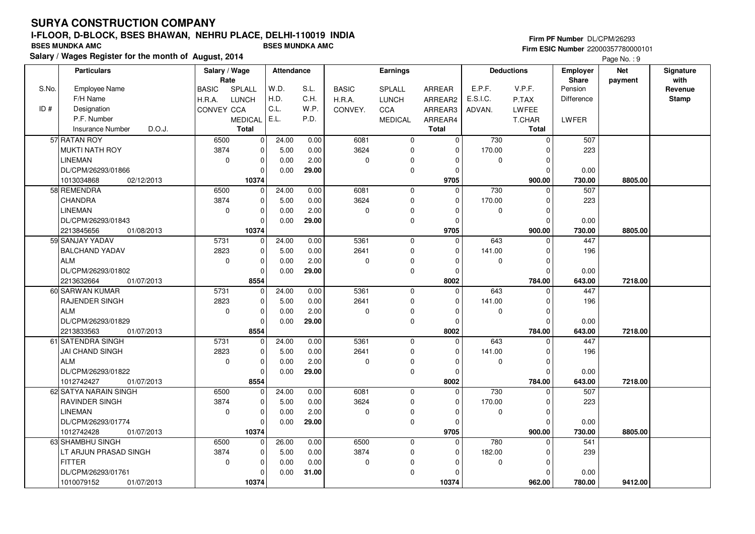#### **Firm PF Number** DL/CPM/26293 **Firm ESIC Number** 22000357780000101

|       | <b>Particulars</b>                | Salary / Wage        |                | <b>Attendance</b> |       |              | <b>Earnings</b> |                |              | <b>Deductions</b> | <b>Employer</b>   | <b>Net</b> | Signature<br>with |
|-------|-----------------------------------|----------------------|----------------|-------------------|-------|--------------|-----------------|----------------|--------------|-------------------|-------------------|------------|-------------------|
| S.No. | <b>Employee Name</b>              | Rate<br><b>BASIC</b> | SPLALL         | W.D.              | S.L.  | <b>BASIC</b> | SPLALL          | <b>ARREAR</b>  | E.P.F.       | V.P.F.            | Share<br>Pension  | payment    | Revenue           |
|       | F/H Name                          | H.R.A.               | <b>LUNCH</b>   | H.D.              | C.H.  | H.R.A.       | <b>LUNCH</b>    | ARREAR2        | E.S.I.C.     | P.TAX             | <b>Difference</b> |            | <b>Stamp</b>      |
| ID#   | Designation                       | <b>CONVEY CCA</b>    |                | C.L.              | W.P.  | CONVEY.      | <b>CCA</b>      | ARREAR3        | ADVAN.       | LWFEE             |                   |            |                   |
|       | P.F. Number                       |                      | <b>MEDICAL</b> | E.L.              | P.D.  |              | <b>MEDICAL</b>  | ARREAR4        |              | T.CHAR            | <b>LWFER</b>      |            |                   |
|       | D.O.J.<br><b>Insurance Number</b> |                      | Total          |                   |       |              |                 | <b>Total</b>   |              | <b>Total</b>      |                   |            |                   |
|       | 57 RATAN ROY                      | 6500                 | 0              | 24.00             | 0.00  | 6081         | $\mathbf 0$     | $\mathbf 0$    | 730          | $\mathbf 0$       | 507               |            |                   |
|       | <b>MUKTI NATH ROY</b>             | 3874                 | $\mathbf 0$    | 5.00              | 0.00  | 3624         | $\mathbf 0$     | $\Omega$       | 170.00       | $\Omega$          | 223               |            |                   |
|       | <b>LINEMAN</b>                    | $\mathbf 0$          | $\mathbf 0$    | 0.00              | 2.00  | 0            | $\mathbf 0$     | $\mathbf 0$    | $\mathbf 0$  | $\Omega$          |                   |            |                   |
|       | DL/CPM/26293/01866                |                      | 0              | 0.00              | 29.00 |              | $\mathbf 0$     | 0              |              | $\Omega$          | 0.00              |            |                   |
|       | 1013034868<br>02/12/2013          |                      | 10374          |                   |       |              |                 | 9705           |              | 900.00            | 730.00            | 8805.00    |                   |
|       | 58 REMENDRA                       | 6500                 | $\mathbf 0$    | 24.00             | 0.00  | 6081         | $\mathbf 0$     | $\Omega$       | 730          | $\Omega$          | 507               |            |                   |
|       | CHANDRA                           | 3874                 | 0              | 5.00              | 0.00  | 3624         | $\mathbf 0$     | 0              | 170.00       | $\Omega$          | 223               |            |                   |
|       | <b>LINEMAN</b>                    | $\mathbf 0$          | $\mathbf 0$    | 0.00              | 2.00  | 0            | $\Omega$        | $\mathbf 0$    | $\mathbf 0$  | $\Omega$          |                   |            |                   |
|       | DL/CPM/26293/01843                |                      | $\mathbf 0$    | 0.00              | 29.00 |              | $\mathbf 0$     | $\mathbf 0$    |              | $\Omega$          | 0.00              |            |                   |
|       | 2213845656<br>01/08/2013          |                      | 10374          |                   |       |              |                 | 9705           |              | 900.00            | 730.00            | 8805.00    |                   |
|       | 59 SANJAY YADAV                   | 5731                 | $\mathbf 0$    | 24.00             | 0.00  | 5361         | $\mathbf 0$     | $\Omega$       | 643          | $\Omega$          | 447               |            |                   |
|       | <b>BALCHAND YADAV</b>             | 2823                 | 0              | 5.00              | 0.00  | 2641         | $\mathbf 0$     | 0              | 141.00       | $\mathbf 0$       | 196               |            |                   |
|       | ALM                               | $\mathbf 0$          | 0              | 0.00              | 2.00  | 0            | $\Omega$        | $\Omega$       | 0            | $\Omega$          |                   |            |                   |
|       | DL/CPM/26293/01802                |                      | $\mathbf 0$    | 0.00              | 29.00 |              | $\mathbf 0$     | $\Omega$       |              | $\Omega$          | 0.00              |            |                   |
|       | 2213632664<br>01/07/2013          |                      | 8554           |                   |       |              |                 | 8002           |              | 784.00            | 643.00            | 7218.00    |                   |
|       | 60 SARWAN KUMAR                   | 5731                 | $\mathbf 0$    | 24.00             | 0.00  | 5361         | $\overline{0}$  | $\overline{0}$ | 643          | $\Omega$          | 447               |            |                   |
|       | <b>RAJENDER SINGH</b>             | 2823                 | $\mathbf 0$    | 5.00              | 0.00  | 2641         | $\mathbf 0$     | $\mathbf 0$    | 141.00       | $\Omega$          | 196               |            |                   |
|       | <b>ALM</b>                        | 0                    | 0              | 0.00              | 2.00  | 0            | $\mathbf 0$     | $\Omega$       | 0            | $\Omega$          |                   |            |                   |
|       | DL/CPM/26293/01829                |                      | $\Omega$       | 0.00              | 29.00 |              | $\mathbf 0$     | $\Omega$       |              | $\Omega$          | 0.00              |            |                   |
|       | 2213833563<br>01/07/2013          |                      | 8554           |                   |       |              |                 | 8002           |              | 784.00            | 643.00            | 7218.00    |                   |
|       | 61 SATENDRA SINGH                 | 5731                 | $\mathbf 0$    | 24.00             | 0.00  | 5361         | $\mathbf 0$     | $\mathbf 0$    | 643          | $\mathbf 0$       | 447               |            |                   |
|       | <b>JAI CHAND SINGH</b>            | 2823                 | $\mathbf 0$    | 5.00              | 0.00  | 2641         | $\mathbf 0$     | $\Omega$       | 141.00       | $\Omega$          | 196               |            |                   |
|       | <b>ALM</b>                        | $\mathbf 0$          | $\mathbf 0$    | 0.00              | 2.00  | 0            | $\mathbf 0$     | $\Omega$       | $\mathbf{0}$ | $\mathbf 0$       |                   |            |                   |
|       | DL/CPM/26293/01822                |                      | 0              | 0.00              | 29.00 |              | $\mathbf 0$     | 0              |              | $\Omega$          | 0.00              |            |                   |
|       | 1012742427<br>01/07/2013          |                      | 8554           |                   |       |              |                 | 8002           |              | 784.00            | 643.00            | 7218.00    |                   |
|       | 62 SATYA NARAIN SINGH             | 6500                 | $\mathbf 0$    | 24.00             | 0.00  | 6081         | $\mathbf 0$     | $\Omega$       | 730          | $\Omega$          | 507               |            |                   |
|       | <b>RAVINDER SINGH</b>             | 3874                 | 0              | 5.00              | 0.00  | 3624         | $\mathbf 0$     | $\Omega$       | 170.00       | $\mathbf 0$       | 223               |            |                   |
|       | <b>LINEMAN</b>                    | $\mathbf 0$          | $\mathbf 0$    | 0.00              | 2.00  | 0            | $\mathbf 0$     | $\Omega$       | $\mathbf 0$  | $\Omega$          |                   |            |                   |
|       | DL/CPM/26293/01774                |                      | $\mathbf 0$    | 0.00              | 29.00 |              | $\mathbf 0$     | $\mathbf 0$    |              | $\Omega$          | 0.00              |            |                   |
|       | 1012742428<br>01/07/2013          |                      | 10374          |                   |       |              |                 | 9705           |              | 900.00            | 730.00            | 8805.00    |                   |
|       | 63 SHAMBHU SINGH                  | 6500                 | $\mathbf 0$    | 26.00             | 0.00  | 6500         | $\mathbf 0$     | $\Omega$       | 780          | $\Omega$          | 541               |            |                   |
|       | LT ARJUN PRASAD SINGH             | 3874                 | $\mathbf 0$    | 5.00              | 0.00  | 3874         | $\mathbf 0$     | 0              | 182.00       | $\Omega$          | 239               |            |                   |
|       | <b>FITTER</b>                     | $\mathbf 0$          | 0              | 0.00              | 0.00  | 0            | 0               | $\Omega$       | $\Omega$     | $\Omega$          |                   |            |                   |
|       | DL/CPM/26293/01761                |                      | $\mathbf{0}$   | 0.00              | 31.00 |              | $\mathbf 0$     | $\Omega$       |              | $\Omega$          | 0.00              |            |                   |
|       | 1010079152<br>01/07/2013          |                      | 10374          |                   |       |              |                 | 10374          |              | 962.00            | 780.00            | 9412.00    |                   |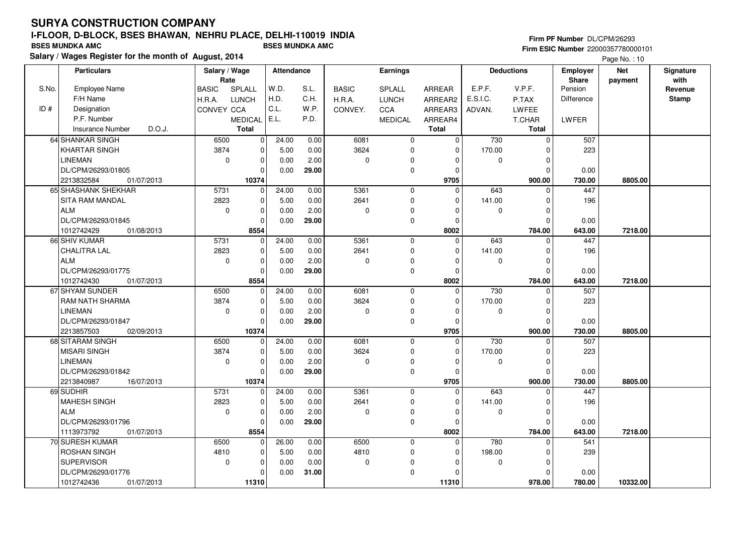#### **Firm PF Number** DL/CPM/26293 **Firm ESIC Number** 22000357780000101

|       | <b>Particulars</b>                | Salary / Wage |                | <b>Attendance</b> |       |              | Earnings       |              |             | <b>Deductions</b> | Employer   | <b>Net</b> | Signature    |
|-------|-----------------------------------|---------------|----------------|-------------------|-------|--------------|----------------|--------------|-------------|-------------------|------------|------------|--------------|
|       |                                   | Rate          |                |                   |       |              |                |              |             |                   | Share      | payment    | with         |
| S.No. | Employee Name                     | <b>BASIC</b>  | SPLALL         | W.D.              | S.L.  | <b>BASIC</b> | <b>SPLALL</b>  | ARREAR       | E.P.F.      | V.P.F.            | Pension    |            | Revenue      |
|       | F/H Name                          | H.R.A.        | <b>LUNCH</b>   | H.D.              | C.H.  | H.R.A.       | <b>LUNCH</b>   | ARREAR2      | E.S.I.C.    | P.TAX             | Difference |            | <b>Stamp</b> |
| ID#   | Designation                       | CONVEY CCA    |                | C.L.              | W.P.  | CONVEY.      | CCA            | ARREAR3      | ADVAN.      | <b>LWFEE</b>      |            |            |              |
|       | P.F. Number                       |               | <b>MEDICAL</b> | E.L.              | P.D.  |              | <b>MEDICAL</b> | ARREAR4      |             | T.CHAR            | LWFER      |            |              |
|       | D.O.J.<br><b>Insurance Number</b> |               | <b>Total</b>   |                   |       |              |                | <b>Total</b> |             | <b>Total</b>      |            |            |              |
|       | 64 SHANKAR SINGH                  | 6500          | 0              | 24.00             | 0.00  | 6081         | $\mathbf 0$    | $\Omega$     | 730         | $\mathbf 0$       | 507        |            |              |
|       | <b>KHARTAR SINGH</b>              | 3874          | 0              | 5.00              | 0.00  | 3624         | $\mathbf 0$    | $\Omega$     | 170.00      | $\mathbf 0$       | 223        |            |              |
|       | <b>LINEMAN</b>                    | $\mathbf 0$   | $\mathbf 0$    | 0.00              | 2.00  | $\mathbf 0$  | $\mathbf 0$    | $\Omega$     | $\mathbf 0$ | $\mathbf 0$       |            |            |              |
|       | DL/CPM/26293/01805                |               | 0              | 0.00              | 29.00 |              | 0              | $\Omega$     |             | $\mathbf 0$       | 0.00       |            |              |
|       | 2213832584<br>01/07/2013          |               | 10374          |                   |       |              |                | 9705         |             | 900.00            | 730.00     | 8805.00    |              |
|       | 65 SHASHANK SHEKHAR               | 5731          | $\mathbf 0$    | 24.00             | 0.00  | 5361         | $\Omega$       | $\Omega$     | 643         | $\mathbf 0$       | 447        |            |              |
|       | <b>SITA RAM MANDAL</b>            | 2823          | $\mathbf 0$    | 5.00              | 0.00  | 2641         | 0              | $\Omega$     | 141.00      | $\mathbf 0$       | 196        |            |              |
|       | <b>ALM</b>                        | $\mathbf 0$   | 0              | 0.00              | 2.00  | $\mathbf 0$  | $\Omega$       | $\Omega$     | 0           | $\mathbf 0$       |            |            |              |
|       | DL/CPM/26293/01845                |               | $\mathbf 0$    | 0.00              | 29.00 |              | $\pmb{0}$      | $\Omega$     |             | $\mathbf 0$       | 0.00       |            |              |
|       | 1012742429<br>01/08/2013          |               | 8554           |                   |       |              |                | 8002         |             | 784.00            | 643.00     | 7218.00    |              |
|       | 66 SHIV KUMAR                     | 5731          | $\mathbf 0$    | 24.00             | 0.00  | 5361         | $\mathbf 0$    | $\Omega$     | 643         | $\mathbf 0$       | 447        |            |              |
|       | <b>CHALITRA LAL</b>               | 2823          | $\mathbf 0$    | 5.00              | 0.00  | 2641         | 0              | $\Omega$     | 141.00      | $\mathbf 0$       | 196        |            |              |
|       | <b>ALM</b>                        | $\mathbf 0$   | 0              | 0.00              | 2.00  | $\mathbf 0$  | $\mathbf 0$    | $\Omega$     | $\mathbf 0$ | $\mathbf 0$       |            |            |              |
|       | DL/CPM/26293/01775                |               | $\Omega$       | 0.00              | 29.00 |              | 0              | $\Omega$     |             | $\Omega$          | 0.00       |            |              |
|       | 1012742430<br>01/07/2013          |               | 8554           |                   |       |              |                | 8002         |             | 784.00            | 643.00     | 7218.00    |              |
|       | 67 SHYAM SUNDER                   | 6500          | $\mathbf 0$    | 24.00             | 0.00  | 6081         | $\mathbf 0$    | $\Omega$     | 730         | $\mathbf 0$       | 507        |            |              |
|       | RAM NATH SHARMA                   | 3874          | 0              | 5.00              | 0.00  | 3624         | $\mathbf 0$    | $\mathbf 0$  | 170.00      | $\mathbf 0$       | 223        |            |              |
|       | <b>LINEMAN</b>                    | $\mathbf 0$   | 0              | 0.00              | 2.00  | $\mathbf 0$  | 0              | $\Omega$     | $\mathbf 0$ | $\mathbf 0$       |            |            |              |
|       | DL/CPM/26293/01847                |               | $\mathbf{0}$   | 0.00              | 29.00 |              | $\mathbf 0$    | $\Omega$     |             | $\mathbf 0$       | 0.00       |            |              |
|       | 2213857503<br>02/09/2013          |               | 10374          |                   |       |              |                | 9705         |             | 900.00            | 730.00     | 8805.00    |              |
|       | 68 SITARAM SINGH                  | 6500          | 0              | 24.00             | 0.00  | 6081         | $\mathbf 0$    | $\Omega$     | 730         | $\mathbf 0$       | 507        |            |              |
|       | <b>MISARI SINGH</b>               | 3874          | 0              | 5.00              | 0.00  | 3624         | $\mathbf 0$    | $\Omega$     | 170.00      | $\mathbf 0$       | 223        |            |              |
|       | <b>LINEMAN</b>                    | $\mathbf 0$   | 0              | 0.00              | 2.00  | $\Omega$     | 0              | $\Omega$     | $\mathbf 0$ | $\mathbf 0$       |            |            |              |
|       | DL/CPM/26293/01842                |               | 0              | 0.00              | 29.00 |              | 0              | $\Omega$     |             | $\mathbf 0$       | 0.00       |            |              |
|       | 2213840987<br>16/07/2013          |               | 10374          |                   |       |              |                | 9705         |             | 900.00            | 730.00     | 8805.00    |              |
|       | 69 SUDHIR                         | 5731          | 0              | 24.00             | 0.00  | 5361         | $\mathbf 0$    | $\Omega$     | 643         | $\mathbf 0$       | 447        |            |              |
|       | <b>MAHESH SINGH</b>               | 2823          | $\mathbf 0$    | 5.00              | 0.00  | 2641         | $\mathbf 0$    | $\Omega$     | 141.00      | $\Omega$          | 196        |            |              |
|       | <b>ALM</b>                        | $\mathbf 0$   | $\mathbf 0$    | 0.00              | 2.00  | $\mathbf 0$  | 0              | $\Omega$     | $\mathbf 0$ | $\mathbf 0$       |            |            |              |
|       | DL/CPM/26293/01796                |               | $\mathbf 0$    | 0.00              | 29.00 |              | $\mathbf 0$    | $\Omega$     |             | $\mathbf 0$       | 0.00       |            |              |
|       | 1113973792<br>01/07/2013          |               | 8554           |                   |       |              |                | 8002         |             | 784.00            | 643.00     | 7218.00    |              |
|       | 70 SURESH KUMAR                   | 6500          | $\mathbf 0$    | 26.00             | 0.00  | 6500         | $\mathbf 0$    | $\Omega$     | 780         | $\Omega$          | 541        |            |              |
|       | <b>ROSHAN SINGH</b>               | 4810          | 0              | 5.00              | 0.00  | 4810         | $\mathbf 0$    | $\Omega$     | 198.00      | $\mathbf 0$       | 239        |            |              |
|       | <b>SUPERVISOR</b>                 | $\mathbf 0$   | 0              | 0.00              | 0.00  | 0            | $\Omega$       | $\Omega$     | 0           | 0                 |            |            |              |
|       | DL/CPM/26293/01776                |               | 0              | 0.00              | 31.00 |              | $\Omega$       | $\Omega$     |             | $\mathbf 0$       | 0.00       |            |              |
|       | 1012742436<br>01/07/2013          |               | 11310          |                   |       |              |                | 11310        |             | 978.00            | 780.00     | 10332.00   |              |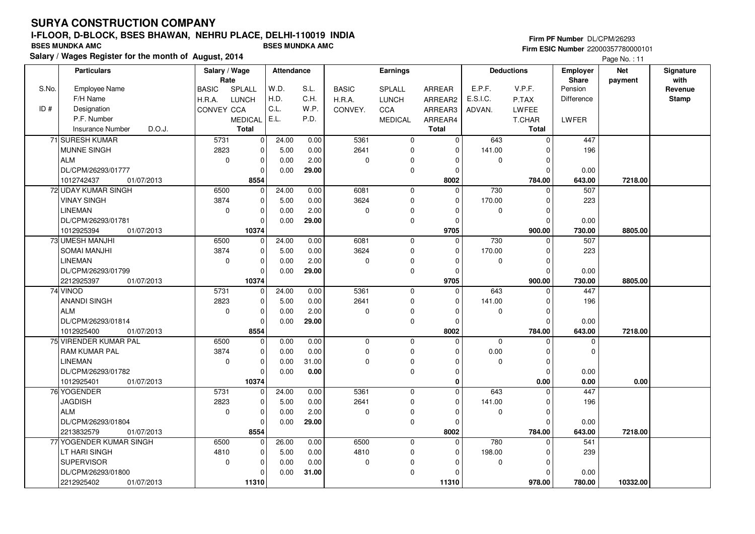# **SURYA CONSTRUCTION COMPANYI-FLOOR, D-BLOCK, BSES BHAWAN, NEHRU PLACE, DELHI-110019 INDIA**

**Salary / Wages Register for the month of August, 2014 BSES MUNDKA AMC BSES MUNDKA AMC**

#### **Firm PF Number** DL/CPM/26293 **Firm ESIC Number** 22000357780000101

|       | <b>Particulars</b>         | Salary / Wage        |                | Attendance |       |              | Earnings       |               |             | <b>Deductions</b> | <b>Employer</b>         | <b>Net</b> | Signature<br>with |
|-------|----------------------------|----------------------|----------------|------------|-------|--------------|----------------|---------------|-------------|-------------------|-------------------------|------------|-------------------|
| S.No. | Employee Name              | Rate<br><b>BASIC</b> | SPLALL         | W.D.       | S.L.  | <b>BASIC</b> | SPLALL         | <b>ARREAR</b> | E.P.F.      | V.P.F.            | <b>Share</b><br>Pension | payment    | Revenue           |
|       | F/H Name                   | H.R.A.               | <b>LUNCH</b>   | H.D.       | C.H.  | H.R.A.       | <b>LUNCH</b>   | ARREAR2       | E.S.I.C.    | P.TAX             | Difference              |            | <b>Stamp</b>      |
| ID#   | Designation                | CONVEY CCA           |                | C.L.       | W.P.  | CONVEY.      | CCA            | ARREAR3       | ADVAN.      | LWFEE             |                         |            |                   |
|       | P.F. Number                |                      | <b>MEDICAL</b> | E.L.       | P.D.  |              | <b>MEDICAL</b> | ARREAR4       |             | T.CHAR            | LWFER                   |            |                   |
|       | Insurance Number<br>D.O.J. |                      | <b>Total</b>   |            |       |              |                | Total         |             | <b>Total</b>      |                         |            |                   |
|       | 71 SURESH KUMAR            | 5731                 | $\mathbf 0$    | 24.00      | 0.00  | 5361         | $\mathbf 0$    | $\mathbf 0$   | 643         | $\mathbf 0$       | 447                     |            |                   |
|       | <b>MUNNE SINGH</b>         | 2823                 | $\mathbf 0$    | 5.00       | 0.00  | 2641         | 0              | $\mathbf 0$   | 141.00      | $\mathbf 0$       | 196                     |            |                   |
|       | <b>ALM</b>                 | $\mathbf 0$          | 0              | 0.00       | 2.00  | $\mathbf 0$  | 0              | $\Omega$      | $\mathbf 0$ | $\mathbf 0$       |                         |            |                   |
|       | DL/CPM/26293/01777         |                      | $\mathbf 0$    | 0.00       | 29.00 |              | $\mathbf 0$    | $\Omega$      |             | $\Omega$          | 0.00                    |            |                   |
|       | 1012742437<br>01/07/2013   |                      | 8554           |            |       |              |                | 8002          |             | 784.00            | 643.00                  | 7218.00    |                   |
|       | 72 UDAY KUMAR SINGH        | 6500                 | $\mathbf{0}$   | 24.00      | 0.00  | 6081         | $\mathbf 0$    | $\Omega$      | 730         | $\mathbf 0$       | 507                     |            |                   |
|       | <b>VINAY SINGH</b>         | 3874                 | $\mathbf 0$    | 5.00       | 0.00  | 3624         | $\mathbf 0$    | $\mathbf 0$   | 170.00      | $\mathbf 0$       | 223                     |            |                   |
|       | <b>LINEMAN</b>             | $\mathbf 0$          | 0              | 0.00       | 2.00  | 0            | 0              | $\Omega$      | 0           | $\mathbf 0$       |                         |            |                   |
|       | DL/CPM/26293/01781         |                      | 0              | 0.00       | 29.00 |              | $\mathbf 0$    | $\Omega$      |             | $\mathbf 0$       | 0.00                    |            |                   |
|       | 1012925394<br>01/07/2013   |                      | 10374          |            |       |              |                | 9705          |             | 900.00            | 730.00                  | 8805.00    |                   |
|       | 73 UMESH MANJHI            | 6500                 | $\mathbf{0}$   | 24.00      | 0.00  | 6081         | $\mathbf 0$    | $\mathbf 0$   | 730         | 0                 | 507                     |            |                   |
|       | <b>SOMAI MANJHI</b>        | 3874                 | 0              | 5.00       | 0.00  | 3624         | $\mathbf 0$    | $\Omega$      | 170.00      | $\mathbf 0$       | 223                     |            |                   |
|       | <b>LINEMAN</b>             | $\mathbf 0$          | 0              | 0.00       | 2.00  | $\Omega$     | 0              | $\Omega$      | $\mathbf 0$ | $\mathbf 0$       |                         |            |                   |
|       | DL/CPM/26293/01799         |                      | $\Omega$       | 0.00       | 29.00 |              | 0              | $\Omega$      |             | $\Omega$          | 0.00                    |            |                   |
|       | 2212925397<br>01/07/2013   |                      | 10374          |            |       |              |                | 9705          |             | 900.00            | 730.00                  | 8805.00    |                   |
|       | 74 VINOD                   | 5731                 | 0              | 24.00      | 0.00  | 5361         | $\mathbf 0$    | $\Omega$      | 643         | 0                 | 447                     |            |                   |
|       | <b>ANANDI SINGH</b>        | 2823                 | $\mathbf{0}$   | 5.00       | 0.00  | 2641         | $\mathbf 0$    | $\Omega$      | 141.00      | $\Omega$          | 196                     |            |                   |
|       | <b>ALM</b>                 | $\mathbf 0$          | $\mathbf 0$    | 0.00       | 2.00  | 0            | 0              | $\Omega$      | $\mathbf 0$ | $\mathbf 0$       |                         |            |                   |
|       | DL/CPM/26293/01814         |                      | 0              | 0.00       | 29.00 |              | 0              | $\Omega$      |             | $\mathbf 0$       | 0.00                    |            |                   |
|       | 1012925400<br>01/07/2013   |                      | 8554           |            |       |              |                | 8002          |             | 784.00            | 643.00                  | 7218.00    |                   |
|       | 75 VIRENDER KUMAR PAL      | 6500                 | $\overline{0}$ | 0.00       | 0.00  | 0            | $\mathbf 0$    | $\Omega$      | $\mathbf 0$ | $\Omega$          | 0                       |            |                   |
|       | <b>RAM KUMAR PAL</b>       | 3874                 | 0              | 0.00       | 0.00  | 0            | $\pmb{0}$      | O             | 0.00        | $\mathbf 0$       | $\Omega$                |            |                   |
|       | <b>LINEMAN</b>             | $\mathbf 0$          | $\overline{0}$ | 0.00       | 31.00 | 0            | $\Omega$       | $\Omega$      | $\mathbf 0$ | $\mathbf 0$       |                         |            |                   |
|       | DL/CPM/26293/01782         |                      | $\mathbf 0$    | 0.00       | 0.00  |              | 0              | $\mathbf 0$   |             | $\mathbf 0$       | 0.00                    |            |                   |
|       | 1012925401<br>01/07/2013   |                      | 10374          |            |       |              |                | $\bf{0}$      |             | 0.00              | 0.00                    | 0.00       |                   |
|       | 76 YOGENDER                | 5731                 | $\overline{0}$ | 24.00      | 0.00  | 5361         | $\mathbf 0$    | $\Omega$      | 643         | $\Omega$          | 447                     |            |                   |
|       | <b>JAGDISH</b>             | 2823                 | $\mathbf 0$    | 5.00       | 0.00  | 2641         | $\mathbf 0$    | $\Omega$      | 141.00      | $\mathbf 0$       | 196                     |            |                   |
|       | <b>ALM</b>                 | $\mathbf 0$          | $\mathbf{0}$   | 0.00       | 2.00  | $\mathbf 0$  | $\mathbf 0$    | $\Omega$      | $\mathbf 0$ | $\mathbf 0$       |                         |            |                   |
|       | DL/CPM/26293/01804         |                      | $\mathbf 0$    | 0.00       | 29.00 |              | $\mathbf 0$    | $\Omega$      |             | $\mathbf 0$       | 0.00                    |            |                   |
|       | 2213832579<br>01/07/2013   |                      | 8554           |            |       |              |                | 8002          |             | 784.00            | 643.00                  | 7218.00    |                   |
|       | 77 YOGENDER KUMAR SINGH    | 6500                 | 0              | 26.00      | 0.00  | 6500         | $\mathbf 0$    | $\Omega$      | 780         | $\mathbf 0$       | 541                     |            |                   |
|       | LT HARI SINGH              | 4810                 | $\mathbf 0$    | 5.00       | 0.00  | 4810         | 0              | $\mathbf 0$   | 198.00      | $\mathbf 0$       | 239                     |            |                   |
|       | <b>SUPERVISOR</b>          | $\mathbf 0$          | $\pmb{0}$      | 0.00       | 0.00  | 0            | $\Omega$       | $\Omega$      | $\mathbf 0$ | 0                 |                         |            |                   |
|       | DL/CPM/26293/01800         |                      | 0              | 0.00       | 31.00 |              | $\mathbf 0$    | $\Omega$      |             | $\mathbf 0$       | 0.00                    |            |                   |
|       | 2212925402<br>01/07/2013   |                      | 11310          |            |       |              |                | 11310         |             | 978.00            | 780.00                  | 10332.00   |                   |